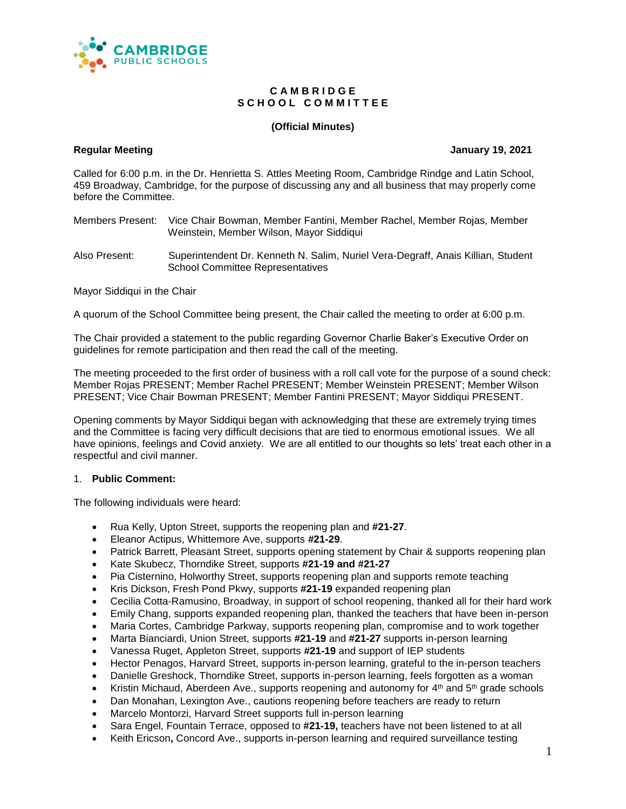

## **C A M B R I D G E S C H O O L C O M M I T T E E**

# **(Official Minutes)**

**Regular Meeting January 19, 2021**

Called for 6:00 p.m. in the Dr. Henrietta S. Attles Meeting Room, Cambridge Rindge and Latin School, 459 Broadway, Cambridge, for the purpose of discussing any and all business that may properly come before the Committee.

Members Present: Vice Chair Bowman, Member Fantini, Member Rachel, Member Rojas, Member Weinstein, Member Wilson, Mayor Siddiqui

Also Present: Superintendent Dr. Kenneth N. Salim, Nuriel Vera-Degraff, Anais Killian, Student School Committee Representatives

Mayor Siddiqui in the Chair

A quorum of the School Committee being present, the Chair called the meeting to order at 6:00 p.m.

The Chair provided a statement to the public regarding Governor Charlie Baker's Executive Order on guidelines for remote participation and then read the call of the meeting.

The meeting proceeded to the first order of business with a roll call vote for the purpose of a sound check: Member Rojas PRESENT; Member Rachel PRESENT; Member Weinstein PRESENT; Member Wilson PRESENT; Vice Chair Bowman PRESENT; Member Fantini PRESENT; Mayor Siddiqui PRESENT.

Opening comments by Mayor Siddiqui began with acknowledging that these are extremely trying times and the Committee is facing very difficult decisions that are tied to enormous emotional issues. We all have opinions, feelings and Covid anxiety. We are all entitled to our thoughts so lets' treat each other in a respectful and civil manner.

## 1. **Public Comment:**

The following individuals were heard:

- Rua Kelly, Upton Street, supports the reopening plan and **#21-27**.
- Eleanor Actipus, Whittemore Ave, supports **#21-29**.
- Patrick Barrett, Pleasant Street, supports opening statement by Chair & supports reopening plan
- Kate Skubecz, Thorndike Street, supports **#21-19 and #21-27**
- Pia Cisternino, Holworthy Street, supports reopening plan and supports remote teaching
- Kris Dickson, Fresh Pond Pkwy, supports **#21-19** expanded reopening plan
- Cecilia Cotta-Ramusino, Broadway, in support of school reopening, thanked all for their hard work
- Emily Chang, supports expanded reopening plan, thanked the teachers that have been in-person
- Maria Cortes, Cambridge Parkway, supports reopening plan, compromise and to work together
- Marta Bianciardi, Union Street, supports **#21-19** and **#21-27** supports in-person learning
- Vanessa Ruget, Appleton Street, supports **#21-19** and support of IEP students
- Hector Penagos, Harvard Street, supports in-person learning, grateful to the in-person teachers
- Danielle Greshock, Thorndike Street, supports in-person learning, feels forgotten as a woman
- Kristin Michaud, Aberdeen Ave., supports reopening and autonomy for 4<sup>th</sup> and 5<sup>th</sup> grade schools
- Dan Monahan, Lexington Ave., cautions reopening before teachers are ready to return
- Marcelo Montorzi, Harvard Street supports full in-person learning
- Sara Engel, Fountain Terrace, opposed to **#21-19,** teachers have not been listened to at all
- Keith Ericson**,** Concord Ave., supports in-person learning and required surveillance testing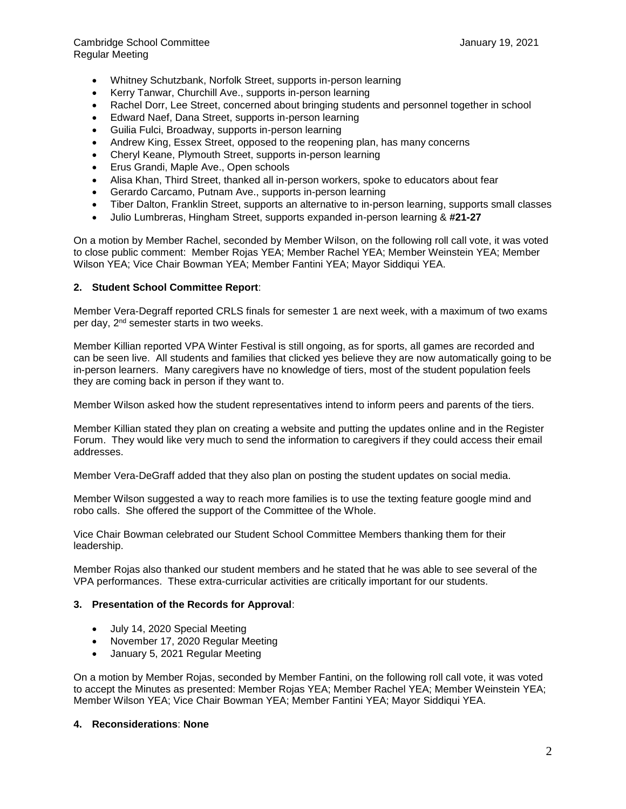- Whitney Schutzbank, Norfolk Street, supports in-person learning
- Kerry Tanwar, Churchill Ave., supports in-person learning
- Rachel Dorr, Lee Street, concerned about bringing students and personnel together in school
- Edward Naef, Dana Street, supports in-person learning
- Guilia Fulci, Broadway, supports in-person learning
- Andrew King, Essex Street, opposed to the reopening plan, has many concerns
- Cheryl Keane, Plymouth Street, supports in-person learning
- Erus Grandi, Maple Ave., Open schools
- Alisa Khan, Third Street, thanked all in-person workers, spoke to educators about fear
- Gerardo Carcamo, Putnam Ave., supports in-person learning
- Tiber Dalton, Franklin Street, supports an alternative to in-person learning, supports small classes
- Julio Lumbreras, Hingham Street, supports expanded in-person learning & **#21-27**

On a motion by Member Rachel, seconded by Member Wilson, on the following roll call vote, it was voted to close public comment: Member Rojas YEA; Member Rachel YEA; Member Weinstein YEA; Member Wilson YEA; Vice Chair Bowman YEA; Member Fantini YEA; Mayor Siddiqui YEA.

# **2. Student School Committee Report**:

Member Vera-Degraff reported CRLS finals for semester 1 are next week, with a maximum of two exams per day, 2<sup>nd</sup> semester starts in two weeks.

Member Killian reported VPA Winter Festival is still ongoing, as for sports, all games are recorded and can be seen live. All students and families that clicked yes believe they are now automatically going to be in-person learners. Many caregivers have no knowledge of tiers, most of the student population feels they are coming back in person if they want to.

Member Wilson asked how the student representatives intend to inform peers and parents of the tiers.

Member Killian stated they plan on creating a website and putting the updates online and in the Register Forum. They would like very much to send the information to caregivers if they could access their email addresses.

Member Vera-DeGraff added that they also plan on posting the student updates on social media.

Member Wilson suggested a way to reach more families is to use the texting feature google mind and robo calls. She offered the support of the Committee of the Whole.

Vice Chair Bowman celebrated our Student School Committee Members thanking them for their leadership.

Member Rojas also thanked our student members and he stated that he was able to see several of the VPA performances. These extra-curricular activities are critically important for our students.

## **3. Presentation of the Records for Approval**:

- July 14, 2020 Special Meeting
- November 17, 2020 Regular Meeting
- January 5, 2021 Regular Meeting

On a motion by Member Rojas, seconded by Member Fantini, on the following roll call vote, it was voted to accept the Minutes as presented: Member Rojas YEA; Member Rachel YEA; Member Weinstein YEA; Member Wilson YEA; Vice Chair Bowman YEA; Member Fantini YEA; Mayor Siddiqui YEA.

## **4. Reconsiderations**: **None**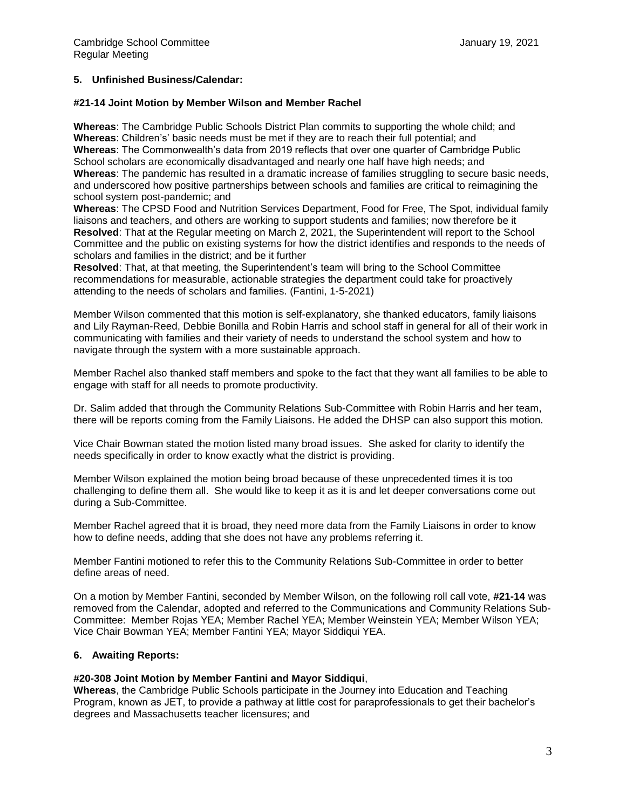# **5. Unfinished Business/Calendar:**

## **#21-14 Joint Motion by Member Wilson and Member Rachel**

**Whereas**: The Cambridge Public Schools District Plan commits to supporting the whole child; and **Whereas**: Children's' basic needs must be met if they are to reach their full potential; and **Whereas**: The Commonwealth's data from 2019 reflects that over one quarter of Cambridge Public School scholars are economically disadvantaged and nearly one half have high needs; and **Whereas**: The pandemic has resulted in a dramatic increase of families struggling to secure basic needs, and underscored how positive partnerships between schools and families are critical to reimagining the school system post-pandemic; and

**Whereas**: The CPSD Food and Nutrition Services Department, Food for Free, The Spot, individual family liaisons and teachers, and others are working to support students and families; now therefore be it **Resolved**: That at the Regular meeting on March 2, 2021, the Superintendent will report to the School Committee and the public on existing systems for how the district identifies and responds to the needs of scholars and families in the district; and be it further

**Resolved**: That, at that meeting, the Superintendent's team will bring to the School Committee recommendations for measurable, actionable strategies the department could take for proactively attending to the needs of scholars and families. (Fantini, 1-5-2021)

Member Wilson commented that this motion is self-explanatory, she thanked educators, family liaisons and Lily Rayman-Reed, Debbie Bonilla and Robin Harris and school staff in general for all of their work in communicating with families and their variety of needs to understand the school system and how to navigate through the system with a more sustainable approach.

Member Rachel also thanked staff members and spoke to the fact that they want all families to be able to engage with staff for all needs to promote productivity.

Dr. Salim added that through the Community Relations Sub-Committee with Robin Harris and her team, there will be reports coming from the Family Liaisons. He added the DHSP can also support this motion.

Vice Chair Bowman stated the motion listed many broad issues. She asked for clarity to identify the needs specifically in order to know exactly what the district is providing.

Member Wilson explained the motion being broad because of these unprecedented times it is too challenging to define them all. She would like to keep it as it is and let deeper conversations come out during a Sub-Committee.

Member Rachel agreed that it is broad, they need more data from the Family Liaisons in order to know how to define needs, adding that she does not have any problems referring it.

Member Fantini motioned to refer this to the Community Relations Sub-Committee in order to better define areas of need.

On a motion by Member Fantini, seconded by Member Wilson, on the following roll call vote, **#21-14** was removed from the Calendar, adopted and referred to the Communications and Community Relations Sub-Committee: Member Rojas YEA; Member Rachel YEA; Member Weinstein YEA; Member Wilson YEA; Vice Chair Bowman YEA; Member Fantini YEA; Mayor Siddiqui YEA.

## **6. Awaiting Reports:**

## **#20-308 Joint Motion by Member Fantini and Mayor Siddiqui**,

**Whereas**, the Cambridge Public Schools participate in the Journey into Education and Teaching Program, known as JET, to provide a pathway at little cost for paraprofessionals to get their bachelor's degrees and Massachusetts teacher licensures; and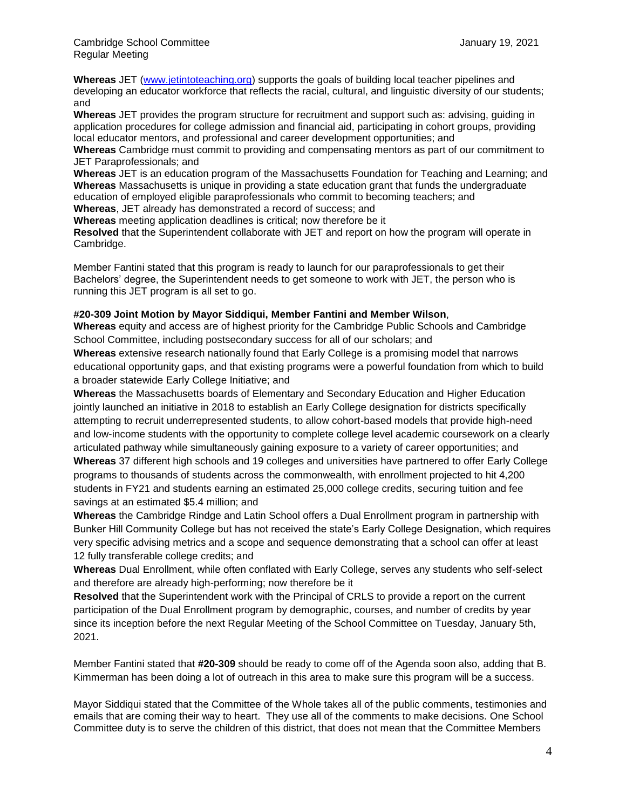**Whereas** JET [\(www.jetintoteaching.org\)](http://www.jetintoteaching.org/) supports the goals of building local teacher pipelines and developing an educator workforce that reflects the racial, cultural, and linguistic diversity of our students; and

**Whereas** JET provides the program structure for recruitment and support such as: advising, guiding in application procedures for college admission and financial aid, participating in cohort groups, providing local educator mentors, and professional and career development opportunities; and

**Whereas** Cambridge must commit to providing and compensating mentors as part of our commitment to JET Paraprofessionals; and

**Whereas** JET is an education program of the Massachusetts Foundation for Teaching and Learning; and **Whereas** Massachusetts is unique in providing a state education grant that funds the undergraduate education of employed eligible paraprofessionals who commit to becoming teachers; and

**Whereas**, JET already has demonstrated a record of success; and **Whereas** meeting application deadlines is critical; now therefore be it

**Resolved** that the Superintendent collaborate with JET and report on how the program will operate in Cambridge.

Member Fantini stated that this program is ready to launch for our paraprofessionals to get their Bachelors' degree, the Superintendent needs to get someone to work with JET, the person who is running this JET program is all set to go.

# **#20-309 Joint Motion by Mayor Siddiqui, Member Fantini and Member Wilson**,

**Whereas** equity and access are of highest priority for the Cambridge Public Schools and Cambridge School Committee, including postsecondary success for all of our scholars; and

**Whereas** extensive research nationally found that Early College is a promising model that narrows educational opportunity gaps, and that existing programs were a powerful foundation from which to build a broader statewide Early College Initiative; and

**Whereas** the Massachusetts boards of Elementary and Secondary Education and Higher Education jointly launched an initiative in 2018 to establish an Early College designation for districts specifically attempting to recruit underrepresented students, to allow cohort-based models that provide high-need and low-income students with the opportunity to complete college level academic coursework on a clearly articulated pathway while simultaneously gaining exposure to a variety of career opportunities; and

**Whereas** 37 different high schools and 19 colleges and universities have partnered to offer Early College programs to thousands of students across the commonwealth, with enrollment projected to hit 4,200 students in FY21 and students earning an estimated 25,000 college credits, securing tuition and fee savings at an estimated \$5.4 million; and

**Whereas** the Cambridge Rindge and Latin School offers a Dual Enrollment program in partnership with Bunker Hill Community College but has not received the state's Early College Designation, which requires very specific advising metrics and a scope and sequence demonstrating that a school can offer at least 12 fully transferable college credits; and

**Whereas** Dual Enrollment, while often conflated with Early College, serves any students who self-select and therefore are already high-performing; now therefore be it

**Resolved** that the Superintendent work with the Principal of CRLS to provide a report on the current participation of the Dual Enrollment program by demographic, courses, and number of credits by year since its inception before the next Regular Meeting of the School Committee on Tuesday, January 5th, 2021.

Member Fantini stated that **#20-309** should be ready to come off of the Agenda soon also, adding that B. Kimmerman has been doing a lot of outreach in this area to make sure this program will be a success.

Mayor Siddiqui stated that the Committee of the Whole takes all of the public comments, testimonies and emails that are coming their way to heart. They use all of the comments to make decisions. One School Committee duty is to serve the children of this district, that does not mean that the Committee Members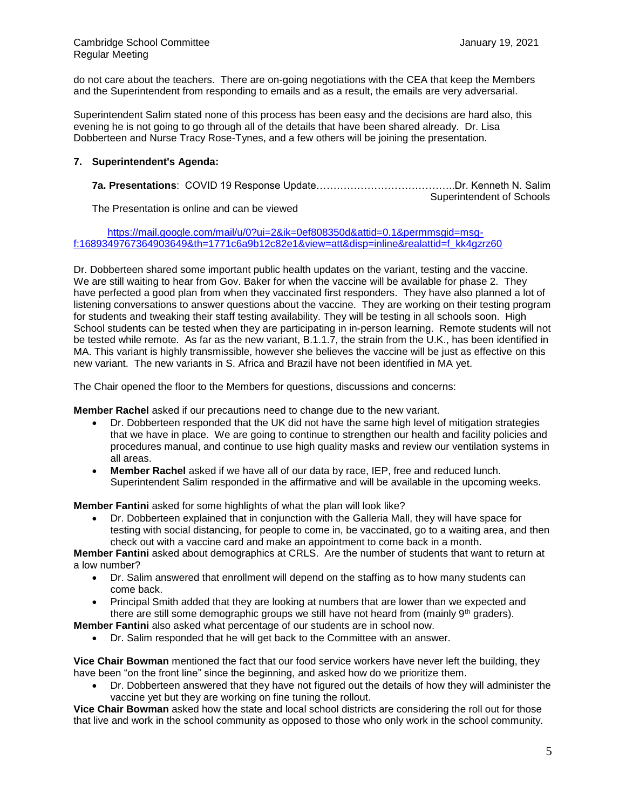do not care about the teachers. There are on-going negotiations with the CEA that keep the Members and the Superintendent from responding to emails and as a result, the emails are very adversarial.

Superintendent Salim stated none of this process has been easy and the decisions are hard also, this evening he is not going to go through all of the details that have been shared already. Dr. Lisa Dobberteen and Nurse Tracy Rose-Tynes, and a few others will be joining the presentation.

# **7. Superintendent's Agenda:**

|  | Superintendent of Schools |
|--|---------------------------|

The Presentation is online and can be viewed

[https://mail.google.com/mail/u/0?ui=2&ik=0ef808350d&attid=0.1&permmsgid=msg](https://mail.google.com/mail/u/0?ui=2&ik=0ef808350d&attid=0.1&permmsgid=msg-f:1689349767364903649&th=1771c6a9b12c82e1&view=att&disp=inline&realattid=f_kk4gzrz60)[f:1689349767364903649&th=1771c6a9b12c82e1&view=att&disp=inline&realattid=f\\_kk4gzrz60](https://mail.google.com/mail/u/0?ui=2&ik=0ef808350d&attid=0.1&permmsgid=msg-f:1689349767364903649&th=1771c6a9b12c82e1&view=att&disp=inline&realattid=f_kk4gzrz60)

Dr. Dobberteen shared some important public health updates on the variant, testing and the vaccine. We are still waiting to hear from Gov. Baker for when the vaccine will be available for phase 2. They have perfected a good plan from when they vaccinated first responders. They have also planned a lot of listening conversations to answer questions about the vaccine. They are working on their testing program for students and tweaking their staff testing availability. They will be testing in all schools soon. High School students can be tested when they are participating in in-person learning. Remote students will not be tested while remote. As far as the new variant, B.1.1.7, the strain from the U.K., has been identified in MA. This variant is highly transmissible, however she believes the vaccine will be just as effective on this new variant. The new variants in S. Africa and Brazil have not been identified in MA yet.

The Chair opened the floor to the Members for questions, discussions and concerns:

**Member Rachel** asked if our precautions need to change due to the new variant.

- Dr. Dobberteen responded that the UK did not have the same high level of mitigation strategies that we have in place. We are going to continue to strengthen our health and facility policies and procedures manual, and continue to use high quality masks and review our ventilation systems in all areas.
- **Member Rachel** asked if we have all of our data by race, IEP, free and reduced lunch. Superintendent Salim responded in the affirmative and will be available in the upcoming weeks.

**Member Fantini** asked for some highlights of what the plan will look like?

• Dr. Dobberteen explained that in conjunction with the Galleria Mall, they will have space for testing with social distancing, for people to come in, be vaccinated, go to a waiting area, and then check out with a vaccine card and make an appointment to come back in a month.

**Member Fantini** asked about demographics at CRLS. Are the number of students that want to return at a low number?

- Dr. Salim answered that enrollment will depend on the staffing as to how many students can come back.
- Principal Smith added that they are looking at numbers that are lower than we expected and there are still some demographic groups we still have not heard from (mainly  $9<sup>th</sup>$  graders).

**Member Fantini** also asked what percentage of our students are in school now.

• Dr. Salim responded that he will get back to the Committee with an answer.

**Vice Chair Bowman** mentioned the fact that our food service workers have never left the building, they have been "on the front line" since the beginning, and asked how do we prioritize them.

• Dr. Dobberteen answered that they have not figured out the details of how they will administer the vaccine yet but they are working on fine tuning the rollout.

**Vice Chair Bowman** asked how the state and local school districts are considering the roll out for those that live and work in the school community as opposed to those who only work in the school community.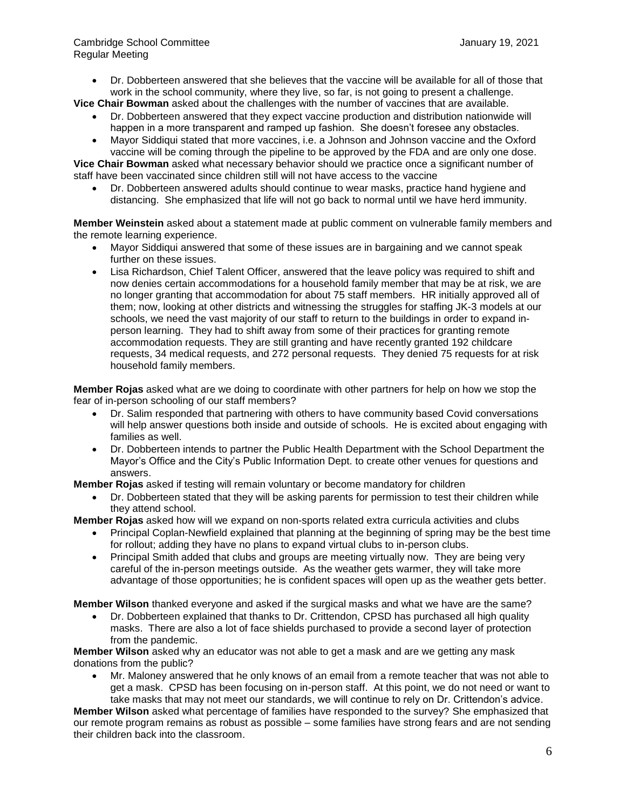• Dr. Dobberteen answered that she believes that the vaccine will be available for all of those that work in the school community, where they live, so far, is not going to present a challenge.

**Vice Chair Bowman** asked about the challenges with the number of vaccines that are available.

- Dr. Dobberteen answered that they expect vaccine production and distribution nationwide will happen in a more transparent and ramped up fashion. She doesn't foresee any obstacles.
- Mayor Siddiqui stated that more vaccines, i.e. a Johnson and Johnson vaccine and the Oxford vaccine will be coming through the pipeline to be approved by the FDA and are only one dose.

**Vice Chair Bowman** asked what necessary behavior should we practice once a significant number of staff have been vaccinated since children still will not have access to the vaccine

• Dr. Dobberteen answered adults should continue to wear masks, practice hand hygiene and distancing. She emphasized that life will not go back to normal until we have herd immunity.

**Member Weinstein** asked about a statement made at public comment on vulnerable family members and the remote learning experience.

- Mayor Siddiqui answered that some of these issues are in bargaining and we cannot speak further on these issues.
- Lisa Richardson, Chief Talent Officer, answered that the leave policy was required to shift and now denies certain accommodations for a household family member that may be at risk, we are no longer granting that accommodation for about 75 staff members. HR initially approved all of them; now, looking at other districts and witnessing the struggles for staffing JK-3 models at our schools, we need the vast majority of our staff to return to the buildings in order to expand inperson learning. They had to shift away from some of their practices for granting remote accommodation requests. They are still granting and have recently granted 192 childcare requests, 34 medical requests, and 272 personal requests. They denied 75 requests for at risk household family members.

**Member Rojas** asked what are we doing to coordinate with other partners for help on how we stop the fear of in-person schooling of our staff members?

- Dr. Salim responded that partnering with others to have community based Covid conversations will help answer questions both inside and outside of schools. He is excited about engaging with families as well.
- Dr. Dobberteen intends to partner the Public Health Department with the School Department the Mayor's Office and the City's Public Information Dept. to create other venues for questions and answers.

**Member Rojas** asked if testing will remain voluntary or become mandatory for children

• Dr. Dobberteen stated that they will be asking parents for permission to test their children while they attend school.

**Member Rojas** asked how will we expand on non-sports related extra curricula activities and clubs

- Principal Coplan-Newfield explained that planning at the beginning of spring may be the best time for rollout; adding they have no plans to expand virtual clubs to in-person clubs.
- Principal Smith added that clubs and groups are meeting virtually now. They are being very careful of the in-person meetings outside. As the weather gets warmer, they will take more advantage of those opportunities; he is confident spaces will open up as the weather gets better.

**Member Wilson** thanked everyone and asked if the surgical masks and what we have are the same?

• Dr. Dobberteen explained that thanks to Dr. Crittendon, CPSD has purchased all high quality masks. There are also a lot of face shields purchased to provide a second layer of protection from the pandemic.

**Member Wilson** asked why an educator was not able to get a mask and are we getting any mask donations from the public?

• Mr. Maloney answered that he only knows of an email from a remote teacher that was not able to get a mask. CPSD has been focusing on in-person staff. At this point, we do not need or want to take masks that may not meet our standards, we will continue to rely on Dr. Crittendon's advice.

**Member Wilson** asked what percentage of families have responded to the survey? She emphasized that our remote program remains as robust as possible – some families have strong fears and are not sending their children back into the classroom.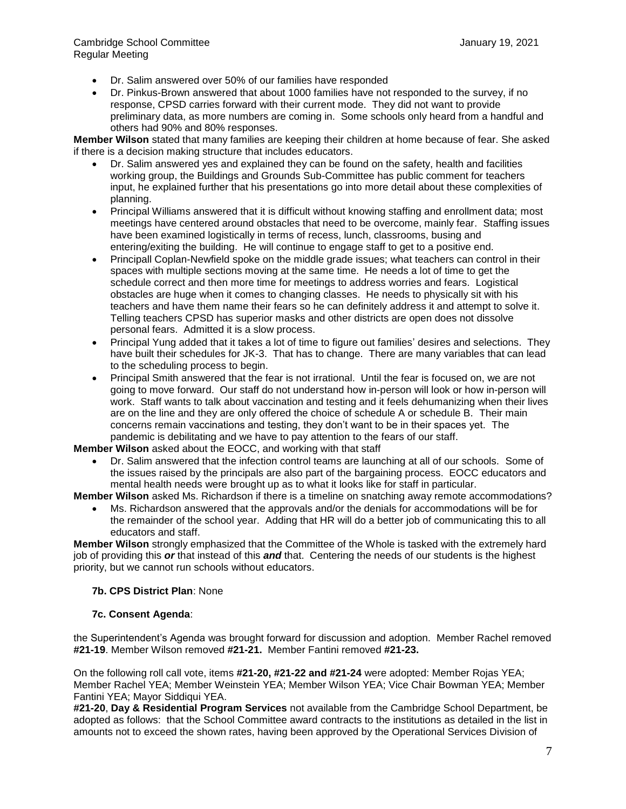- Dr. Salim answered over 50% of our families have responded
- Dr. Pinkus-Brown answered that about 1000 families have not responded to the survey, if no response, CPSD carries forward with their current mode. They did not want to provide preliminary data, as more numbers are coming in. Some schools only heard from a handful and others had 90% and 80% responses.

**Member Wilson** stated that many families are keeping their children at home because of fear. She asked if there is a decision making structure that includes educators.

- Dr. Salim answered yes and explained they can be found on the safety, health and facilities working group, the Buildings and Grounds Sub-Committee has public comment for teachers input, he explained further that his presentations go into more detail about these complexities of planning.
- Principal Williams answered that it is difficult without knowing staffing and enrollment data; most meetings have centered around obstacles that need to be overcome, mainly fear. Staffing issues have been examined logistically in terms of recess, lunch, classrooms, busing and entering/exiting the building. He will continue to engage staff to get to a positive end.
- Principall Coplan-Newfield spoke on the middle grade issues; what teachers can control in their spaces with multiple sections moving at the same time. He needs a lot of time to get the schedule correct and then more time for meetings to address worries and fears. Logistical obstacles are huge when it comes to changing classes. He needs to physically sit with his teachers and have them name their fears so he can definitely address it and attempt to solve it. Telling teachers CPSD has superior masks and other districts are open does not dissolve personal fears. Admitted it is a slow process.
- Principal Yung added that it takes a lot of time to figure out families' desires and selections. They have built their schedules for JK-3. That has to change. There are many variables that can lead to the scheduling process to begin.
- Principal Smith answered that the fear is not irrational. Until the fear is focused on, we are not going to move forward. Our staff do not understand how in-person will look or how in-person will work. Staff wants to talk about vaccination and testing and it feels dehumanizing when their lives are on the line and they are only offered the choice of schedule A or schedule B. Their main concerns remain vaccinations and testing, they don't want to be in their spaces yet. The pandemic is debilitating and we have to pay attention to the fears of our staff.

**Member Wilson** asked about the EOCC, and working with that staff

• Dr. Salim answered that the infection control teams are launching at all of our schools. Some of the issues raised by the principals are also part of the bargaining process. EOCC educators and mental health needs were brought up as to what it looks like for staff in particular.

**Member Wilson** asked Ms. Richardson if there is a timeline on snatching away remote accommodations?

• Ms. Richardson answered that the approvals and/or the denials for accommodations will be for the remainder of the school year. Adding that HR will do a better job of communicating this to all educators and staff.

**Member Wilson** strongly emphasized that the Committee of the Whole is tasked with the extremely hard job of providing this *or* that instead of this *and* that. Centering the needs of our students is the highest priority, but we cannot run schools without educators.

## **7b. CPS District Plan**: None

## **7c. Consent Agenda**:

the Superintendent's Agenda was brought forward for discussion and adoption. Member Rachel removed **#21-19**. Member Wilson removed **#21-21.** Member Fantini removed **#21-23.** 

On the following roll call vote, items **#21-20, #21-22 and #21-24** were adopted: Member Rojas YEA; Member Rachel YEA; Member Weinstein YEA; Member Wilson YEA; Vice Chair Bowman YEA; Member Fantini YEA; Mayor Siddiqui YEA.

**#21-20**, **Day & Residential Program Services** not available from the Cambridge School Department, be adopted as follows: that the School Committee award contracts to the institutions as detailed in the list in amounts not to exceed the shown rates, having been approved by the Operational Services Division of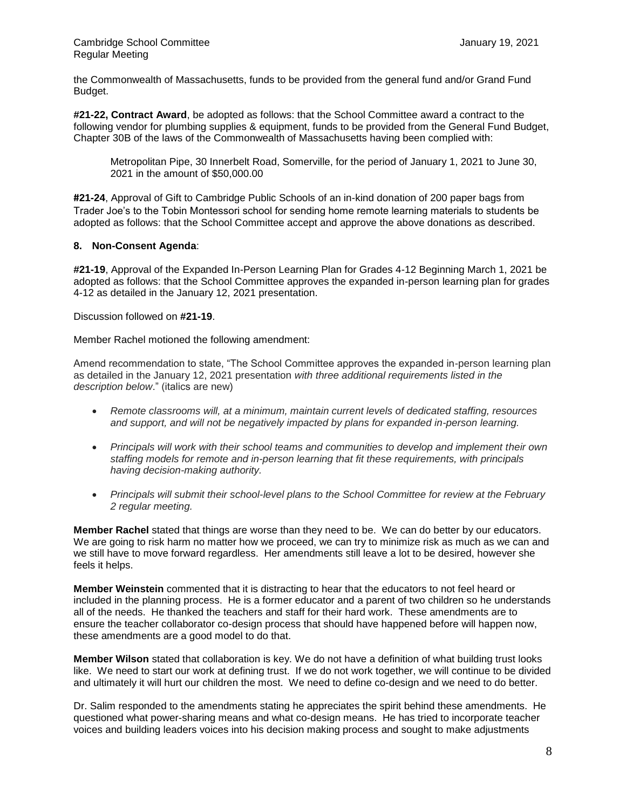the Commonwealth of Massachusetts, funds to be provided from the general fund and/or Grand Fund Budget.

**#21-22, Contract Award**, be adopted as follows: that the School Committee award a contract to the following vendor for plumbing supplies & equipment, funds to be provided from the General Fund Budget, Chapter 30B of the laws of the Commonwealth of Massachusetts having been complied with:

Metropolitan Pipe, 30 Innerbelt Road, Somerville, for the period of January 1, 2021 to June 30, 2021 in the amount of \$50,000.00

**#21-24**, Approval of Gift to Cambridge Public Schools of an in-kind donation of 200 paper bags from Trader Joe's to the Tobin Montessori school for sending home remote learning materials to students be adopted as follows: that the School Committee accept and approve the above donations as described.

## **8. Non-Consent Agenda**:

**#21-19**, Approval of the Expanded In-Person Learning Plan for Grades 4-12 Beginning March 1, 2021 be adopted as follows: that the School Committee approves the expanded in-person learning plan for grades 4-12 as detailed in the January 12, 2021 presentation.

Discussion followed on **#21-19**.

Member Rachel motioned the following amendment:

Amend recommendation to state, "The School Committee approves the expanded in-person learning plan as detailed in the January 12, 2021 presentation *with three additional requirements listed in the description below*." (italics are new)

- *Remote classrooms will, at a minimum, maintain current levels of dedicated staffing, resources and support, and will not be negatively impacted by plans for expanded in-person learning.*
- *Principals will work with their school teams and communities to develop and implement their own staffing models for remote and in-person learning that fit these requirements, with principals having decision-making authority.*
- *Principals will submit their school-level plans to the School Committee for review at the February 2 regular meeting.*

**Member Rachel** stated that things are worse than they need to be. We can do better by our educators. We are going to risk harm no matter how we proceed, we can try to minimize risk as much as we can and we still have to move forward regardless. Her amendments still leave a lot to be desired, however she feels it helps.

**Member Weinstein** commented that it is distracting to hear that the educators to not feel heard or included in the planning process. He is a former educator and a parent of two children so he understands all of the needs. He thanked the teachers and staff for their hard work. These amendments are to ensure the teacher collaborator co-design process that should have happened before will happen now, these amendments are a good model to do that.

**Member Wilson** stated that collaboration is key. We do not have a definition of what building trust looks like. We need to start our work at defining trust. If we do not work together, we will continue to be divided and ultimately it will hurt our children the most. We need to define co-design and we need to do better.

Dr. Salim responded to the amendments stating he appreciates the spirit behind these amendments. He questioned what power-sharing means and what co-design means. He has tried to incorporate teacher voices and building leaders voices into his decision making process and sought to make adjustments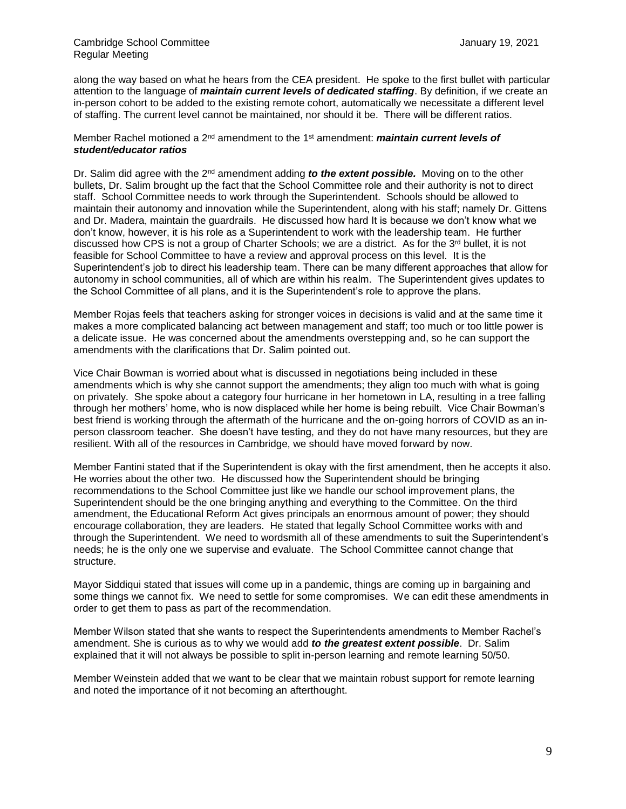along the way based on what he hears from the CEA president. He spoke to the first bullet with particular attention to the language of *maintain current levels of dedicated staffing*. By definition, if we create an in-person cohort to be added to the existing remote cohort, automatically we necessitate a different level of staffing. The current level cannot be maintained, nor should it be. There will be different ratios.

# Member Rachel motioned a 2<sup>nd</sup> amendment to the 1<sup>st</sup> amendment: *maintain current levels of student/educator ratios*

Dr. Salim did agree with the 2<sup>nd</sup> amendment adding *to the extent possible*. Moving on to the other bullets, Dr. Salim brought up the fact that the School Committee role and their authority is not to direct staff. School Committee needs to work through the Superintendent. Schools should be allowed to maintain their autonomy and innovation while the Superintendent, along with his staff; namely Dr. Gittens and Dr. Madera, maintain the guardrails. He discussed how hard It is because we don't know what we don't know, however, it is his role as a Superintendent to work with the leadership team. He further discussed how CPS is not a group of Charter Schools; we are a district. As for the 3<sup>rd</sup> bullet, it is not feasible for School Committee to have a review and approval process on this level. It is the Superintendent's job to direct his leadership team. There can be many different approaches that allow for autonomy in school communities, all of which are within his realm. The Superintendent gives updates to the School Committee of all plans, and it is the Superintendent's role to approve the plans.

Member Rojas feels that teachers asking for stronger voices in decisions is valid and at the same time it makes a more complicated balancing act between management and staff; too much or too little power is a delicate issue. He was concerned about the amendments overstepping and, so he can support the amendments with the clarifications that Dr. Salim pointed out.

Vice Chair Bowman is worried about what is discussed in negotiations being included in these amendments which is why she cannot support the amendments; they align too much with what is going on privately. She spoke about a category four hurricane in her hometown in LA, resulting in a tree falling through her mothers' home, who is now displaced while her home is being rebuilt. Vice Chair Bowman's best friend is working through the aftermath of the hurricane and the on-going horrors of COVID as an inperson classroom teacher. She doesn't have testing, and they do not have many resources, but they are resilient. With all of the resources in Cambridge, we should have moved forward by now.

Member Fantini stated that if the Superintendent is okay with the first amendment, then he accepts it also. He worries about the other two. He discussed how the Superintendent should be bringing recommendations to the School Committee just like we handle our school improvement plans, the Superintendent should be the one bringing anything and everything to the Committee. On the third amendment, the Educational Reform Act gives principals an enormous amount of power; they should encourage collaboration, they are leaders. He stated that legally School Committee works with and through the Superintendent. We need to wordsmith all of these amendments to suit the Superintendent's needs; he is the only one we supervise and evaluate. The School Committee cannot change that structure.

Mayor Siddiqui stated that issues will come up in a pandemic, things are coming up in bargaining and some things we cannot fix. We need to settle for some compromises. We can edit these amendments in order to get them to pass as part of the recommendation.

Member Wilson stated that she wants to respect the Superintendents amendments to Member Rachel's amendment. She is curious as to why we would add *to the greatest extent possible*. Dr. Salim explained that it will not always be possible to split in-person learning and remote learning 50/50.

Member Weinstein added that we want to be clear that we maintain robust support for remote learning and noted the importance of it not becoming an afterthought.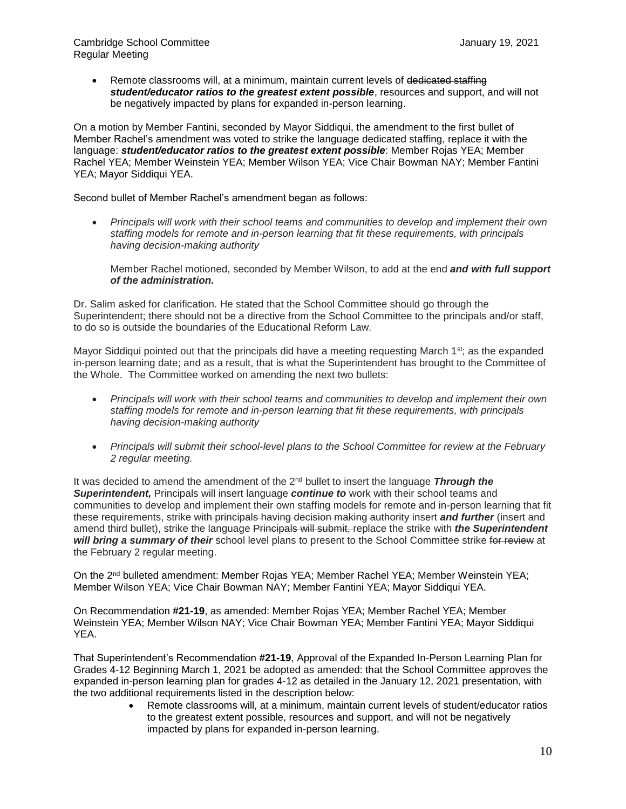Remote classrooms will, at a minimum, maintain current levels of dedicated staffing *student/educator ratios to the greatest extent possible*, resources and support, and will not be negatively impacted by plans for expanded in-person learning.

On a motion by Member Fantini, seconded by Mayor Siddiqui, the amendment to the first bullet of Member Rachel's amendment was voted to strike the language dedicated staffing, replace it with the language: *student/educator ratios to the greatest extent possible*: Member Rojas YEA; Member Rachel YEA; Member Weinstein YEA; Member Wilson YEA; Vice Chair Bowman NAY; Member Fantini YEA; Mayor Siddiqui YEA.

Second bullet of Member Rachel's amendment began as follows:

• *Principals will work with their school teams and communities to develop and implement their own staffing models for remote and in-person learning that fit these requirements, with principals having decision-making authority* 

Member Rachel motioned, seconded by Member Wilson, to add at the end *and with full support of the administration.* 

Dr. Salim asked for clarification. He stated that the School Committee should go through the Superintendent; there should not be a directive from the School Committee to the principals and/or staff, to do so is outside the boundaries of the Educational Reform Law.

Mayor Siddiqui pointed out that the principals did have a meeting requesting March  $1^{st}$ ; as the expanded in-person learning date; and as a result, that is what the Superintendent has brought to the Committee of the Whole. The Committee worked on amending the next two bullets:

- *Principals will work with their school teams and communities to develop and implement their own staffing models for remote and in-person learning that fit these requirements, with principals having decision-making authority*
- *Principals will submit their school-level plans to the School Committee for review at the February 2 regular meeting.*

It was decided to amend the amendment of the 2nd bullet to insert the language *Through the Superintendent,* Principals will insert language *continue to* work with their school teams and communities to develop and implement their own staffing models for remote and in-person learning that fit these requirements, strike with principals having decision making authority insert *and further* (insert and amend third bullet), strike the language Principals will submit, replace the strike with *the Superintendent will bring a summary of their* school level plans to present to the School Committee strike for review at the February 2 regular meeting.

On the 2<sup>nd</sup> bulleted amendment: Member Rojas YEA; Member Rachel YEA; Member Weinstein YEA; Member Wilson YEA; Vice Chair Bowman NAY; Member Fantini YEA; Mayor Siddiqui YEA.

On Recommendation **#21-19**, as amended: Member Rojas YEA; Member Rachel YEA; Member Weinstein YEA; Member Wilson NAY; Vice Chair Bowman YEA; Member Fantini YEA; Mayor Siddiqui YEA.

That Superintendent's Recommendation **#21-19**, Approval of the Expanded In-Person Learning Plan for Grades 4-12 Beginning March 1, 2021 be adopted as amended: that the School Committee approves the expanded in-person learning plan for grades 4-12 as detailed in the January 12, 2021 presentation, with the two additional requirements listed in the description below:

> • Remote classrooms will, at a minimum, maintain current levels of student/educator ratios to the greatest extent possible, resources and support, and will not be negatively impacted by plans for expanded in-person learning.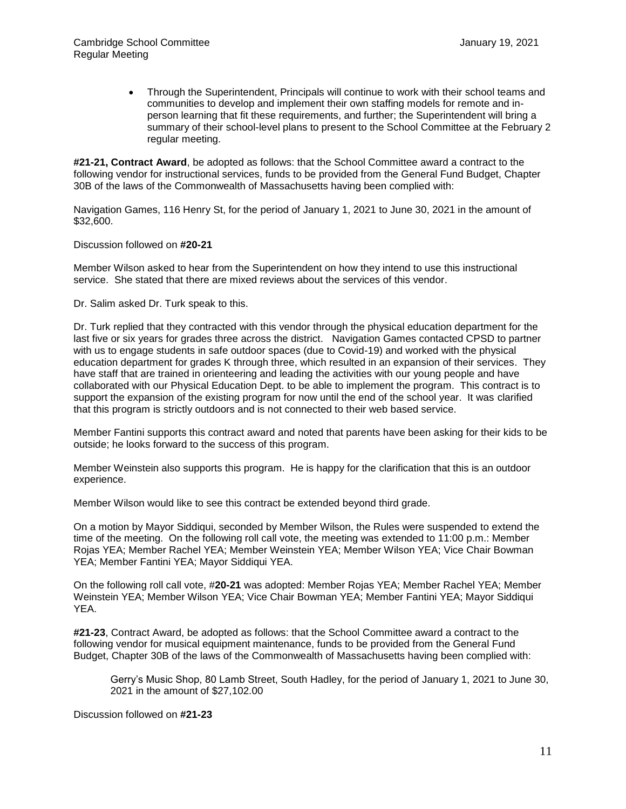• Through the Superintendent, Principals will continue to work with their school teams and communities to develop and implement their own staffing models for remote and inperson learning that fit these requirements, and further; the Superintendent will bring a summary of their school-level plans to present to the School Committee at the February 2 regular meeting.

**#21-21, Contract Award**, be adopted as follows: that the School Committee award a contract to the following vendor for instructional services, funds to be provided from the General Fund Budget, Chapter 30B of the laws of the Commonwealth of Massachusetts having been complied with:

Navigation Games, 116 Henry St, for the period of January 1, 2021 to June 30, 2021 in the amount of \$32,600.

## Discussion followed on **#20-21**

Member Wilson asked to hear from the Superintendent on how they intend to use this instructional service. She stated that there are mixed reviews about the services of this vendor.

Dr. Salim asked Dr. Turk speak to this.

Dr. Turk replied that they contracted with this vendor through the physical education department for the last five or six years for grades three across the district. Navigation Games contacted CPSD to partner with us to engage students in safe outdoor spaces (due to Covid-19) and worked with the physical education department for grades K through three, which resulted in an expansion of their services. They have staff that are trained in orienteering and leading the activities with our young people and have collaborated with our Physical Education Dept. to be able to implement the program. This contract is to support the expansion of the existing program for now until the end of the school year. It was clarified that this program is strictly outdoors and is not connected to their web based service.

Member Fantini supports this contract award and noted that parents have been asking for their kids to be outside; he looks forward to the success of this program.

Member Weinstein also supports this program. He is happy for the clarification that this is an outdoor experience.

Member Wilson would like to see this contract be extended beyond third grade.

On a motion by Mayor Siddiqui, seconded by Member Wilson, the Rules were suspended to extend the time of the meeting. On the following roll call vote, the meeting was extended to 11:00 p.m.: Member Rojas YEA; Member Rachel YEA; Member Weinstein YEA; Member Wilson YEA; Vice Chair Bowman YEA; Member Fantini YEA; Mayor Siddiqui YEA.

On the following roll call vote, #**20-21** was adopted: Member Rojas YEA; Member Rachel YEA; Member Weinstein YEA; Member Wilson YEA; Vice Chair Bowman YEA; Member Fantini YEA; Mayor Siddiqui YEA.

**#21-23**, Contract Award, be adopted as follows: that the School Committee award a contract to the following vendor for musical equipment maintenance, funds to be provided from the General Fund Budget, Chapter 30B of the laws of the Commonwealth of Massachusetts having been complied with:

Gerry's Music Shop, 80 Lamb Street, South Hadley, for the period of January 1, 2021 to June 30, 2021 in the amount of \$27,102.00

Discussion followed on **#21-23**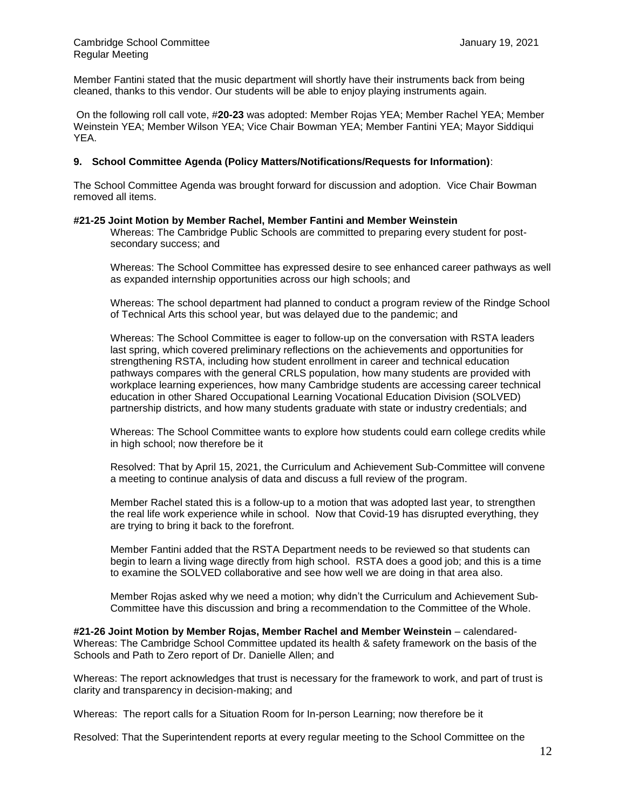Member Fantini stated that the music department will shortly have their instruments back from being cleaned, thanks to this vendor. Our students will be able to enjoy playing instruments again.

On the following roll call vote, #**20-23** was adopted: Member Rojas YEA; Member Rachel YEA; Member Weinstein YEA; Member Wilson YEA; Vice Chair Bowman YEA; Member Fantini YEA; Mayor Siddiqui YEA.

### **9. School Committee Agenda (Policy Matters/Notifications/Requests for Information)**:

The School Committee Agenda was brought forward for discussion and adoption. Vice Chair Bowman removed all items.

#### **#21-25 Joint Motion by Member Rachel, Member Fantini and Member Weinstein**

Whereas: The Cambridge Public Schools are committed to preparing every student for postsecondary success; and

Whereas: The School Committee has expressed desire to see enhanced career pathways as well as expanded internship opportunities across our high schools; and

Whereas: The school department had planned to conduct a program review of the Rindge School of Technical Arts this school year, but was delayed due to the pandemic; and

Whereas: The School Committee is eager to follow-up on the conversation with RSTA leaders last spring, which covered preliminary reflections on the achievements and opportunities for strengthening RSTA, including how student enrollment in career and technical education pathways compares with the general CRLS population, how many students are provided with workplace learning experiences, how many Cambridge students are accessing career technical education in other Shared Occupational Learning Vocational Education Division (SOLVED) partnership districts, and how many students graduate with state or industry credentials; and

Whereas: The School Committee wants to explore how students could earn college credits while in high school; now therefore be it

Resolved: That by April 15, 2021, the Curriculum and Achievement Sub-Committee will convene a meeting to continue analysis of data and discuss a full review of the program.

Member Rachel stated this is a follow-up to a motion that was adopted last year, to strengthen the real life work experience while in school. Now that Covid-19 has disrupted everything, they are trying to bring it back to the forefront.

Member Fantini added that the RSTA Department needs to be reviewed so that students can begin to learn a living wage directly from high school. RSTA does a good job; and this is a time to examine the SOLVED collaborative and see how well we are doing in that area also.

Member Rojas asked why we need a motion; why didn't the Curriculum and Achievement Sub-Committee have this discussion and bring a recommendation to the Committee of the Whole.

**#21-26 Joint Motion by Member Rojas, Member Rachel and Member Weinstein** – calendared-Whereas: The Cambridge School Committee updated its health & safety framework on the basis of the Schools and Path to Zero report of Dr. Danielle Allen; and

Whereas: The report acknowledges that trust is necessary for the framework to work, and part of trust is clarity and transparency in decision-making; and

Whereas: The report calls for a Situation Room for In-person Learning; now therefore be it

Resolved: That the Superintendent reports at every regular meeting to the School Committee on the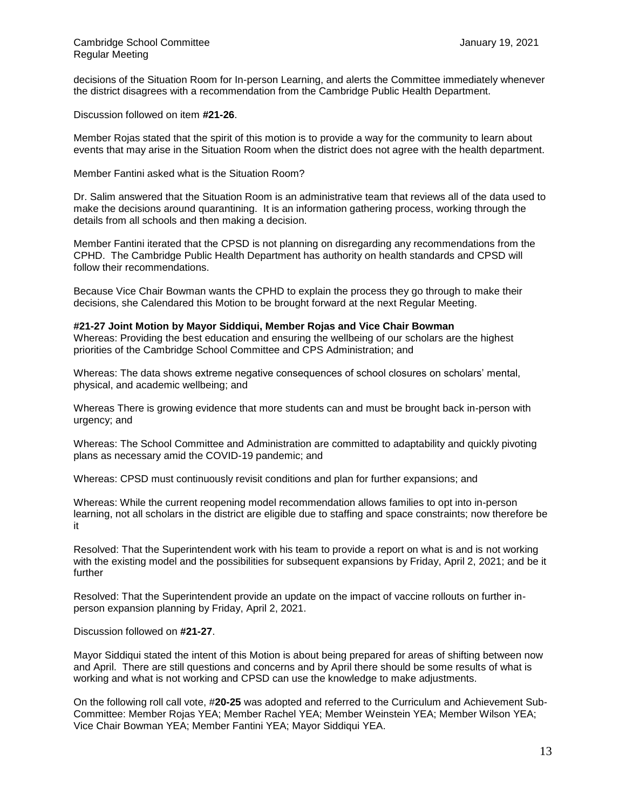decisions of the Situation Room for In-person Learning, and alerts the Committee immediately whenever the district disagrees with a recommendation from the Cambridge Public Health Department.

Discussion followed on item **#21-26**.

Member Rojas stated that the spirit of this motion is to provide a way for the community to learn about events that may arise in the Situation Room when the district does not agree with the health department.

Member Fantini asked what is the Situation Room?

Dr. Salim answered that the Situation Room is an administrative team that reviews all of the data used to make the decisions around quarantining. It is an information gathering process, working through the details from all schools and then making a decision.

Member Fantini iterated that the CPSD is not planning on disregarding any recommendations from the CPHD. The Cambridge Public Health Department has authority on health standards and CPSD will follow their recommendations.

Because Vice Chair Bowman wants the CPHD to explain the process they go through to make their decisions, she Calendared this Motion to be brought forward at the next Regular Meeting.

## **#21-27 Joint Motion by Mayor Siddiqui, Member Rojas and Vice Chair Bowman**

Whereas: Providing the best education and ensuring the wellbeing of our scholars are the highest priorities of the Cambridge School Committee and CPS Administration; and

Whereas: The data shows extreme negative consequences of school closures on scholars' mental, physical, and academic wellbeing; and

Whereas There is growing evidence that more students can and must be brought back in-person with urgency; and

Whereas: The School Committee and Administration are committed to adaptability and quickly pivoting plans as necessary amid the COVID-19 pandemic; and

Whereas: CPSD must continuously revisit conditions and plan for further expansions; and

Whereas: While the current reopening model recommendation allows families to opt into in-person learning, not all scholars in the district are eligible due to staffing and space constraints; now therefore be it

Resolved: That the Superintendent work with his team to provide a report on what is and is not working with the existing model and the possibilities for subsequent expansions by Friday, April 2, 2021; and be it further

Resolved: That the Superintendent provide an update on the impact of vaccine rollouts on further inperson expansion planning by Friday, April 2, 2021.

Discussion followed on **#21-27**.

Mayor Siddiqui stated the intent of this Motion is about being prepared for areas of shifting between now and April. There are still questions and concerns and by April there should be some results of what is working and what is not working and CPSD can use the knowledge to make adjustments.

On the following roll call vote, #**20-25** was adopted and referred to the Curriculum and Achievement Sub-Committee: Member Rojas YEA; Member Rachel YEA; Member Weinstein YEA; Member Wilson YEA; Vice Chair Bowman YEA; Member Fantini YEA; Mayor Siddiqui YEA.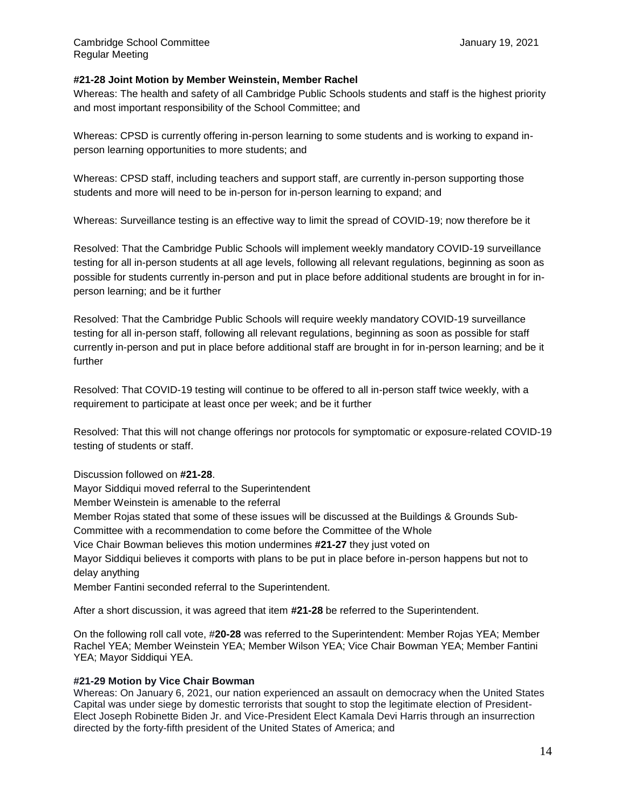# **#21-28 Joint Motion by Member Weinstein, Member Rachel**

Whereas: The health and safety of all Cambridge Public Schools students and staff is the highest priority and most important responsibility of the School Committee; and

Whereas: CPSD is currently offering in-person learning to some students and is working to expand inperson learning opportunities to more students; and

Whereas: CPSD staff, including teachers and support staff, are currently in-person supporting those students and more will need to be in-person for in-person learning to expand; and

Whereas: Surveillance testing is an effective way to limit the spread of COVID-19; now therefore be it

Resolved: That the Cambridge Public Schools will implement weekly mandatory COVID-19 surveillance testing for all in-person students at all age levels, following all relevant regulations, beginning as soon as possible for students currently in-person and put in place before additional students are brought in for inperson learning; and be it further

Resolved: That the Cambridge Public Schools will require weekly mandatory COVID-19 surveillance testing for all in-person staff, following all relevant regulations, beginning as soon as possible for staff currently in-person and put in place before additional staff are brought in for in-person learning; and be it further

Resolved: That COVID-19 testing will continue to be offered to all in-person staff twice weekly, with a requirement to participate at least once per week; and be it further

Resolved: That this will not change offerings nor protocols for symptomatic or exposure-related COVID-19 testing of students or staff.

Discussion followed on **#21-28**.

Mayor Siddiqui moved referral to the Superintendent

Member Weinstein is amenable to the referral

Member Rojas stated that some of these issues will be discussed at the Buildings & Grounds Sub-

Committee with a recommendation to come before the Committee of the Whole

Vice Chair Bowman believes this motion undermines **#21-27** they just voted on

Mayor Siddiqui believes it comports with plans to be put in place before in-person happens but not to delay anything

Member Fantini seconded referral to the Superintendent.

After a short discussion, it was agreed that item **#21-28** be referred to the Superintendent.

On the following roll call vote, #**20-28** was referred to the Superintendent: Member Rojas YEA; Member Rachel YEA; Member Weinstein YEA; Member Wilson YEA; Vice Chair Bowman YEA; Member Fantini YEA; Mayor Siddiqui YEA.

## **#21-29 Motion by Vice Chair Bowman**

Whereas: On January 6, 2021, our nation experienced an assault on democracy when the United States Capital was under siege by domestic terrorists that sought to stop the legitimate election of President-Elect Joseph Robinette Biden Jr. and Vice-President Elect Kamala Devi Harris through an insurrection directed by the forty-fifth president of the United States of America; and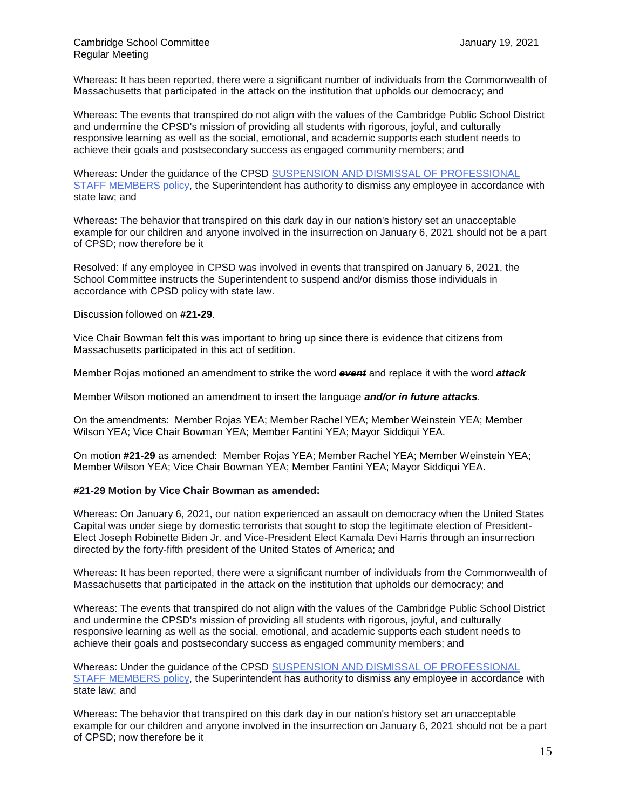Whereas: It has been reported, there were a significant number of individuals from the Commonwealth of Massachusetts that participated in the attack on the institution that upholds our democracy; and

Whereas: The events that transpired do not align with the values of the Cambridge Public School District and undermine the CPSD's mission of providing all students with rigorous, joyful, and culturally responsive learning as well as the social, emotional, and academic supports each student needs to achieve their goals and postsecondary success as engaged community members; and

Whereas: Under the guidance of the CPSD [SUSPENSION AND DISMISSAL OF PROFESSIONAL](https://z2policy.ctspublish.com/masc/browse/mascall/cambridge/GCQF)  [STAFF MEMBERS policy,](https://z2policy.ctspublish.com/masc/browse/mascall/cambridge/GCQF) the Superintendent has authority to dismiss any employee in accordance with state law; and

Whereas: The behavior that transpired on this dark day in our nation's history set an unacceptable example for our children and anyone involved in the insurrection on January 6, 2021 should not be a part of CPSD; now therefore be it

Resolved: If any employee in CPSD was involved in events that transpired on January 6, 2021, the School Committee instructs the Superintendent to suspend and/or dismiss those individuals in accordance with CPSD policy with state law.

Discussion followed on **#21-29**.

Vice Chair Bowman felt this was important to bring up since there is evidence that citizens from Massachusetts participated in this act of sedition.

Member Rojas motioned an amendment to strike the word *event* and replace it with the word *attack*

Member Wilson motioned an amendment to insert the language *and/or in future attacks*.

On the amendments: Member Rojas YEA; Member Rachel YEA; Member Weinstein YEA; Member Wilson YEA; Vice Chair Bowman YEA; Member Fantini YEA; Mayor Siddiqui YEA.

On motion **#21-29** as amended:Member Rojas YEA; Member Rachel YEA; Member Weinstein YEA; Member Wilson YEA; Vice Chair Bowman YEA; Member Fantini YEA; Mayor Siddiqui YEA.

## **#21-29 Motion by Vice Chair Bowman as amended:**

Whereas: On January 6, 2021, our nation experienced an assault on democracy when the United States Capital was under siege by domestic terrorists that sought to stop the legitimate election of President-Elect Joseph Robinette Biden Jr. and Vice-President Elect Kamala Devi Harris through an insurrection directed by the forty-fifth president of the United States of America; and

Whereas: It has been reported, there were a significant number of individuals from the Commonwealth of Massachusetts that participated in the attack on the institution that upholds our democracy; and

Whereas: The events that transpired do not align with the values of the Cambridge Public School District and undermine the CPSD's mission of providing all students with rigorous, joyful, and culturally responsive learning as well as the social, emotional, and academic supports each student needs to achieve their goals and postsecondary success as engaged community members; and

Whereas: Under the guidance of the CPSD [SUSPENSION AND DISMISSAL OF PROFESSIONAL](https://z2policy.ctspublish.com/masc/browse/mascall/cambridge/GCQF)  [STAFF MEMBERS policy,](https://z2policy.ctspublish.com/masc/browse/mascall/cambridge/GCQF) the Superintendent has authority to dismiss any employee in accordance with state law; and

Whereas: The behavior that transpired on this dark day in our nation's history set an unacceptable example for our children and anyone involved in the insurrection on January 6, 2021 should not be a part of CPSD; now therefore be it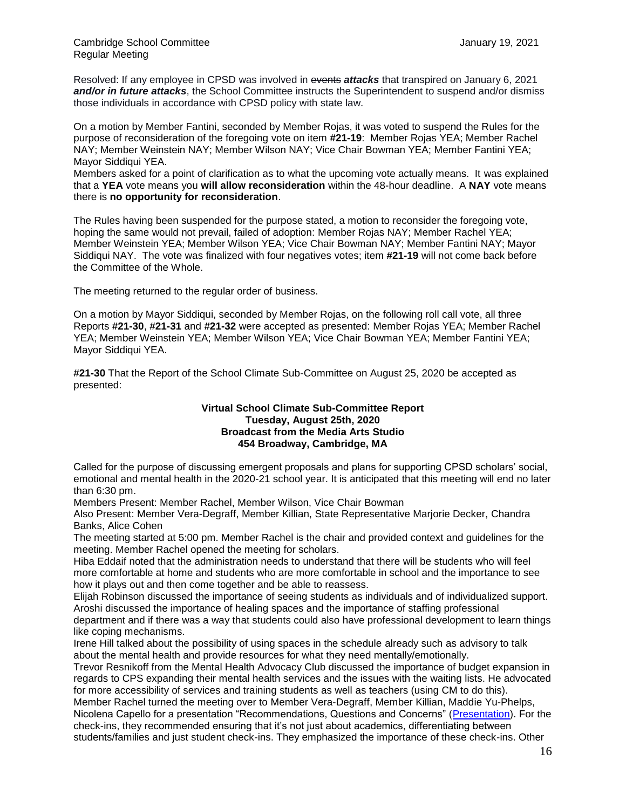Resolved: If any employee in CPSD was involved in events *attacks* that transpired on January 6, 2021 *and/or in future attacks*, the School Committee instructs the Superintendent to suspend and/or dismiss those individuals in accordance with CPSD policy with state law.

On a motion by Member Fantini, seconded by Member Rojas, it was voted to suspend the Rules for the purpose of reconsideration of the foregoing vote on item **#21-19**: Member Rojas YEA; Member Rachel NAY; Member Weinstein NAY; Member Wilson NAY; Vice Chair Bowman YEA; Member Fantini YEA; Mayor Siddiqui YEA.

Members asked for a point of clarification as to what the upcoming vote actually means. It was explained that a **YEA** vote means you **will allow reconsideration** within the 48-hour deadline. A **NAY** vote means there is **no opportunity for reconsideration**.

The Rules having been suspended for the purpose stated, a motion to reconsider the foregoing vote, hoping the same would not prevail, failed of adoption: Member Rojas NAY; Member Rachel YEA; Member Weinstein YEA; Member Wilson YEA; Vice Chair Bowman NAY; Member Fantini NAY; Mayor Siddiqui NAY. The vote was finalized with four negatives votes; item **#21-19** will not come back before the Committee of the Whole.

The meeting returned to the regular order of business.

On a motion by Mayor Siddiqui, seconded by Member Rojas, on the following roll call vote, all three Reports **#21-30**, **#21-31** and **#21-32** were accepted as presented: Member Rojas YEA; Member Rachel YEA; Member Weinstein YEA; Member Wilson YEA; Vice Chair Bowman YEA; Member Fantini YEA; Mayor Siddiqui YEA.

**#21-30** That the Report of the School Climate Sub-Committee on August 25, 2020 be accepted as presented:

# **Virtual School Climate Sub-Committee Report Tuesday, August 25th, 2020 Broadcast from the Media Arts Studio 454 Broadway, Cambridge, MA**

Called for the purpose of discussing emergent proposals and plans for supporting CPSD scholars' social, emotional and mental health in the 2020-21 school year. It is anticipated that this meeting will end no later than 6:30 pm.

Members Present: Member Rachel, Member Wilson, Vice Chair Bowman

Also Present: Member Vera-Degraff, Member Killian, State Representative Marjorie Decker, Chandra Banks, Alice Cohen

The meeting started at 5:00 pm. Member Rachel is the chair and provided context and guidelines for the meeting. Member Rachel opened the meeting for scholars.

Hiba Eddaif noted that the administration needs to understand that there will be students who will feel more comfortable at home and students who are more comfortable in school and the importance to see how it plays out and then come together and be able to reassess.

Elijah Robinson discussed the importance of seeing students as individuals and of individualized support. Aroshi discussed the importance of healing spaces and the importance of staffing professional department and if there was a way that students could also have professional development to learn things like coping mechanisms.

Irene Hill talked about the possibility of using spaces in the schedule already such as advisory to talk about the mental health and provide resources for what they need mentally/emotionally.

Trevor Resnikoff from the Mental Health Advocacy Club discussed the importance of budget expansion in regards to CPS expanding their mental health services and the issues with the waiting lists. He advocated for more accessibility of services and training students as well as teachers (using CM to do this).

Member Rachel turned the meeting over to Member Vera-Degraff, Member Killian, Maddie Yu-Phelps, Nicolena Capello for a presentation "Recommendations, Questions and Concerns" [\(Presentation\)](https://docs.google.com/presentation/d/1j2rNhTeGRIxNqoIIR1H8A5y5829d77GkayfoNmwyK00/edit#slide=id.p). For the check-ins, they recommended ensuring that it's not just about academics, differentiating between students/families and just student check-ins. They emphasized the importance of these check-ins. Other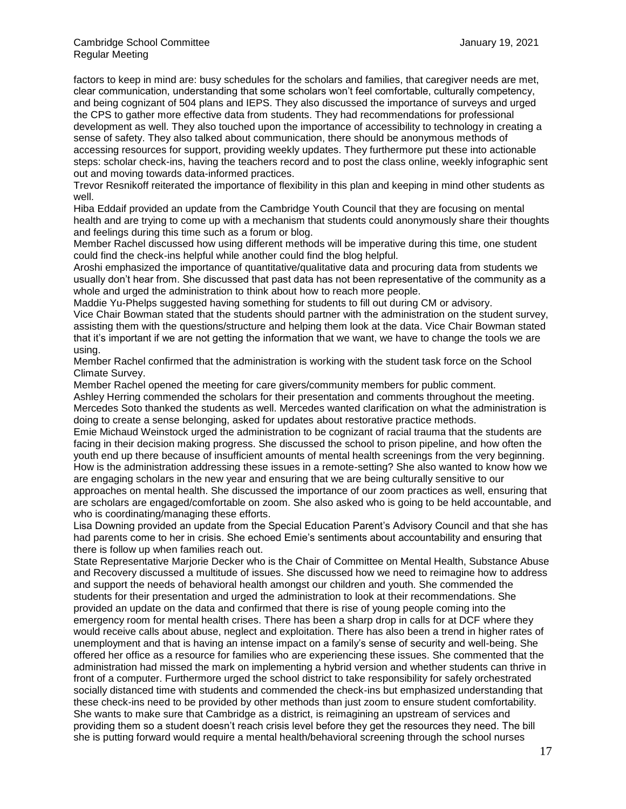factors to keep in mind are: busy schedules for the scholars and families, that caregiver needs are met, clear communication, understanding that some scholars won't feel comfortable, culturally competency, and being cognizant of 504 plans and IEPS. They also discussed the importance of surveys and urged the CPS to gather more effective data from students. They had recommendations for professional development as well. They also touched upon the importance of accessibility to technology in creating a sense of safety. They also talked about communication, there should be anonymous methods of accessing resources for support, providing weekly updates. They furthermore put these into actionable steps: scholar check-ins, having the teachers record and to post the class online, weekly infographic sent out and moving towards data-informed practices.

Trevor Resnikoff reiterated the importance of flexibility in this plan and keeping in mind other students as well.

Hiba Eddaif provided an update from the Cambridge Youth Council that they are focusing on mental health and are trying to come up with a mechanism that students could anonymously share their thoughts and feelings during this time such as a forum or blog.

Member Rachel discussed how using different methods will be imperative during this time, one student could find the check-ins helpful while another could find the blog helpful.

Aroshi emphasized the importance of quantitative/qualitative data and procuring data from students we usually don't hear from. She discussed that past data has not been representative of the community as a whole and urged the administration to think about how to reach more people.

Maddie Yu-Phelps suggested having something for students to fill out during CM or advisory.

Vice Chair Bowman stated that the students should partner with the administration on the student survey, assisting them with the questions/structure and helping them look at the data. Vice Chair Bowman stated that it's important if we are not getting the information that we want, we have to change the tools we are using.

Member Rachel confirmed that the administration is working with the student task force on the School Climate Survey.

Member Rachel opened the meeting for care givers/community members for public comment. Ashley Herring commended the scholars for their presentation and comments throughout the meeting. Mercedes Soto thanked the students as well. Mercedes wanted clarification on what the administration is doing to create a sense belonging, asked for updates about restorative practice methods.

Emie Michaud Weinstock urged the administration to be cognizant of racial trauma that the students are facing in their decision making progress. She discussed the school to prison pipeline, and how often the youth end up there because of insufficient amounts of mental health screenings from the very beginning. How is the administration addressing these issues in a remote-setting? She also wanted to know how we are engaging scholars in the new year and ensuring that we are being culturally sensitive to our

approaches on mental health. She discussed the importance of our zoom practices as well, ensuring that are scholars are engaged/comfortable on zoom. She also asked who is going to be held accountable, and who is coordinating/managing these efforts.

Lisa Downing provided an update from the Special Education Parent's Advisory Council and that she has had parents come to her in crisis. She echoed Emie's sentiments about accountability and ensuring that there is follow up when families reach out.

State Representative Marjorie Decker who is the Chair of Committee on Mental Health, Substance Abuse and Recovery discussed a multitude of issues. She discussed how we need to reimagine how to address and support the needs of behavioral health amongst our children and youth. She commended the students for their presentation and urged the administration to look at their recommendations. She provided an update on the data and confirmed that there is rise of young people coming into the emergency room for mental health crises. There has been a sharp drop in calls for at DCF where they would receive calls about abuse, neglect and exploitation. There has also been a trend in higher rates of unemployment and that is having an intense impact on a family's sense of security and well-being. She offered her office as a resource for families who are experiencing these issues. She commented that the administration had missed the mark on implementing a hybrid version and whether students can thrive in front of a computer. Furthermore urged the school district to take responsibility for safely orchestrated socially distanced time with students and commended the check-ins but emphasized understanding that these check-ins need to be provided by other methods than just zoom to ensure student comfortability. She wants to make sure that Cambridge as a district, is reimagining an upstream of services and providing them so a student doesn't reach crisis level before they get the resources they need. The bill she is putting forward would require a mental health/behavioral screening through the school nurses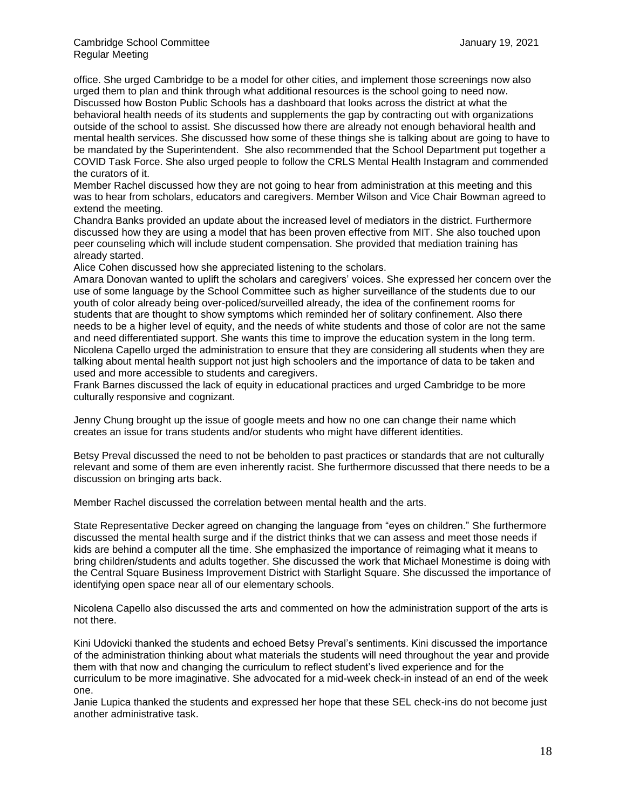office. She urged Cambridge to be a model for other cities, and implement those screenings now also urged them to plan and think through what additional resources is the school going to need now. Discussed how Boston Public Schools has a dashboard that looks across the district at what the behavioral health needs of its students and supplements the gap by contracting out with organizations outside of the school to assist. She discussed how there are already not enough behavioral health and mental health services. She discussed how some of these things she is talking about are going to have to be mandated by the Superintendent. She also recommended that the School Department put together a COVID Task Force. She also urged people to follow the CRLS Mental Health Instagram and commended the curators of it.

Member Rachel discussed how they are not going to hear from administration at this meeting and this was to hear from scholars, educators and caregivers. Member Wilson and Vice Chair Bowman agreed to extend the meeting.

Chandra Banks provided an update about the increased level of mediators in the district. Furthermore discussed how they are using a model that has been proven effective from MIT. She also touched upon peer counseling which will include student compensation. She provided that mediation training has already started.

Alice Cohen discussed how she appreciated listening to the scholars.

Amara Donovan wanted to uplift the scholars and caregivers' voices. She expressed her concern over the use of some language by the School Committee such as higher surveillance of the students due to our youth of color already being over-policed/surveilled already, the idea of the confinement rooms for students that are thought to show symptoms which reminded her of solitary confinement. Also there needs to be a higher level of equity, and the needs of white students and those of color are not the same and need differentiated support. She wants this time to improve the education system in the long term. Nicolena Capello urged the administration to ensure that they are considering all students when they are talking about mental health support not just high schoolers and the importance of data to be taken and used and more accessible to students and caregivers.

Frank Barnes discussed the lack of equity in educational practices and urged Cambridge to be more culturally responsive and cognizant.

Jenny Chung brought up the issue of google meets and how no one can change their name which creates an issue for trans students and/or students who might have different identities.

Betsy Preval discussed the need to not be beholden to past practices or standards that are not culturally relevant and some of them are even inherently racist. She furthermore discussed that there needs to be a discussion on bringing arts back.

Member Rachel discussed the correlation between mental health and the arts.

State Representative Decker agreed on changing the language from "eyes on children." She furthermore discussed the mental health surge and if the district thinks that we can assess and meet those needs if kids are behind a computer all the time. She emphasized the importance of reimaging what it means to bring children/students and adults together. She discussed the work that Michael Monestime is doing with the Central Square Business Improvement District with Starlight Square. She discussed the importance of identifying open space near all of our elementary schools.

Nicolena Capello also discussed the arts and commented on how the administration support of the arts is not there.

Kini Udovicki thanked the students and echoed Betsy Preval's sentiments. Kini discussed the importance of the administration thinking about what materials the students will need throughout the year and provide them with that now and changing the curriculum to reflect student's lived experience and for the curriculum to be more imaginative. She advocated for a mid-week check-in instead of an end of the week one.

Janie Lupica thanked the students and expressed her hope that these SEL check-ins do not become just another administrative task.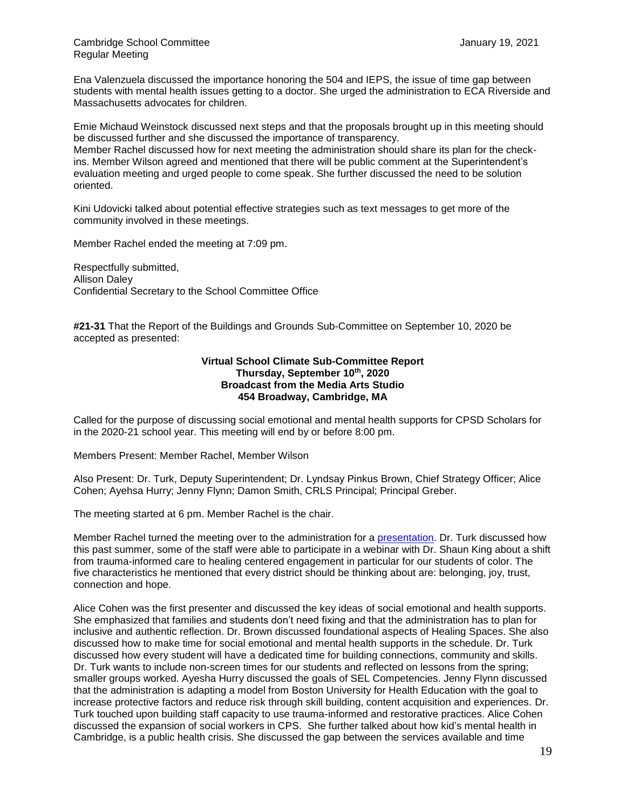Ena Valenzuela discussed the importance honoring the 504 and IEPS, the issue of time gap between students with mental health issues getting to a doctor. She urged the administration to ECA Riverside and Massachusetts advocates for children.

Emie Michaud Weinstock discussed next steps and that the proposals brought up in this meeting should be discussed further and she discussed the importance of transparency.

Member Rachel discussed how for next meeting the administration should share its plan for the checkins. Member Wilson agreed and mentioned that there will be public comment at the Superintendent's evaluation meeting and urged people to come speak. She further discussed the need to be solution oriented.

Kini Udovicki talked about potential effective strategies such as text messages to get more of the community involved in these meetings.

Member Rachel ended the meeting at 7:09 pm.

Respectfully submitted, Allison Daley Confidential Secretary to the School Committee Office

**#21-31** That the Report of the Buildings and Grounds Sub-Committee on September 10, 2020 be accepted as presented:

### **Virtual School Climate Sub-Committee Report Thursday, September 10th, 2020 Broadcast from the Media Arts Studio 454 Broadway, Cambridge, MA**

Called for the purpose of discussing social emotional and mental health supports for CPSD Scholars for in the 2020-21 school year. This meeting will end by or before 8:00 pm.

Members Present: Member Rachel, Member Wilson

Also Present: Dr. Turk, Deputy Superintendent; Dr. Lyndsay Pinkus Brown, Chief Strategy Officer; Alice Cohen; Ayehsa Hurry; Jenny Flynn; Damon Smith, CRLS Principal; Principal Greber.

The meeting started at 6 pm. Member Rachel is the chair.

Member Rachel turned the meeting over to the administration for a [presentation.](https://docs.google.com/presentation/d/1Q3tc0dV5bp7NtFxPqoiRnlTSdYhg_gJSrV9295X8_2g/edit#slide=id.g92a1001cfe_0_0) Dr. Turk discussed how this past summer, some of the staff were able to participate in a webinar with Dr. Shaun King about a shift from trauma-informed care to healing centered engagement in particular for our students of color. The five characteristics he mentioned that every district should be thinking about are: belonging, joy, trust, connection and hope.

Alice Cohen was the first presenter and discussed the key ideas of social emotional and health supports. She emphasized that families and students don't need fixing and that the administration has to plan for inclusive and authentic reflection. Dr. Brown discussed foundational aspects of Healing Spaces. She also discussed how to make time for social emotional and mental health supports in the schedule. Dr. Turk discussed how every student will have a dedicated time for building connections, community and skills. Dr. Turk wants to include non-screen times for our students and reflected on lessons from the spring; smaller groups worked. Ayesha Hurry discussed the goals of SEL Competencies. Jenny Flynn discussed that the administration is adapting a model from Boston University for Health Education with the goal to increase protective factors and reduce risk through skill building, content acquisition and experiences. Dr. Turk touched upon building staff capacity to use trauma-informed and restorative practices. Alice Cohen discussed the expansion of social workers in CPS. She further talked about how kid's mental health in Cambridge, is a public health crisis. She discussed the gap between the services available and time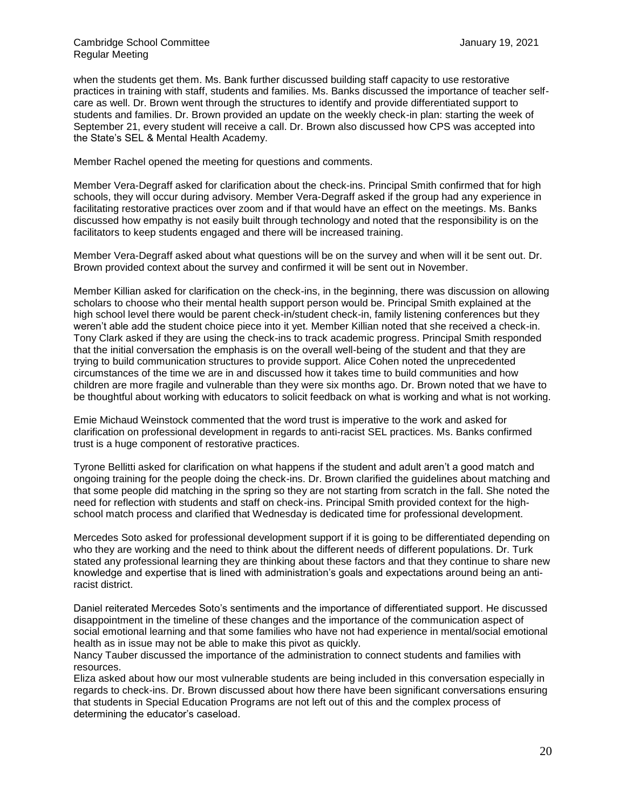when the students get them. Ms. Bank further discussed building staff capacity to use restorative practices in training with staff, students and families. Ms. Banks discussed the importance of teacher selfcare as well. Dr. Brown went through the structures to identify and provide differentiated support to students and families. Dr. Brown provided an update on the weekly check-in plan: starting the week of September 21, every student will receive a call. Dr. Brown also discussed how CPS was accepted into the State's SEL & Mental Health Academy.

Member Rachel opened the meeting for questions and comments.

Member Vera-Degraff asked for clarification about the check-ins. Principal Smith confirmed that for high schools, they will occur during advisory. Member Vera-Degraff asked if the group had any experience in facilitating restorative practices over zoom and if that would have an effect on the meetings. Ms. Banks discussed how empathy is not easily built through technology and noted that the responsibility is on the facilitators to keep students engaged and there will be increased training.

Member Vera-Degraff asked about what questions will be on the survey and when will it be sent out. Dr. Brown provided context about the survey and confirmed it will be sent out in November.

Member Killian asked for clarification on the check-ins, in the beginning, there was discussion on allowing scholars to choose who their mental health support person would be. Principal Smith explained at the high school level there would be parent check-in/student check-in, family listening conferences but they weren't able add the student choice piece into it yet. Member Killian noted that she received a check-in. Tony Clark asked if they are using the check-ins to track academic progress. Principal Smith responded that the initial conversation the emphasis is on the overall well-being of the student and that they are trying to build communication structures to provide support. Alice Cohen noted the unprecedented circumstances of the time we are in and discussed how it takes time to build communities and how children are more fragile and vulnerable than they were six months ago. Dr. Brown noted that we have to be thoughtful about working with educators to solicit feedback on what is working and what is not working.

Emie Michaud Weinstock commented that the word trust is imperative to the work and asked for clarification on professional development in regards to anti-racist SEL practices. Ms. Banks confirmed trust is a huge component of restorative practices.

Tyrone Bellitti asked for clarification on what happens if the student and adult aren't a good match and ongoing training for the people doing the check-ins. Dr. Brown clarified the guidelines about matching and that some people did matching in the spring so they are not starting from scratch in the fall. She noted the need for reflection with students and staff on check-ins. Principal Smith provided context for the highschool match process and clarified that Wednesday is dedicated time for professional development.

Mercedes Soto asked for professional development support if it is going to be differentiated depending on who they are working and the need to think about the different needs of different populations. Dr. Turk stated any professional learning they are thinking about these factors and that they continue to share new knowledge and expertise that is lined with administration's goals and expectations around being an antiracist district.

Daniel reiterated Mercedes Soto's sentiments and the importance of differentiated support. He discussed disappointment in the timeline of these changes and the importance of the communication aspect of social emotional learning and that some families who have not had experience in mental/social emotional health as in issue may not be able to make this pivot as quickly.

Nancy Tauber discussed the importance of the administration to connect students and families with resources.

Eliza asked about how our most vulnerable students are being included in this conversation especially in regards to check-ins. Dr. Brown discussed about how there have been significant conversations ensuring that students in Special Education Programs are not left out of this and the complex process of determining the educator's caseload.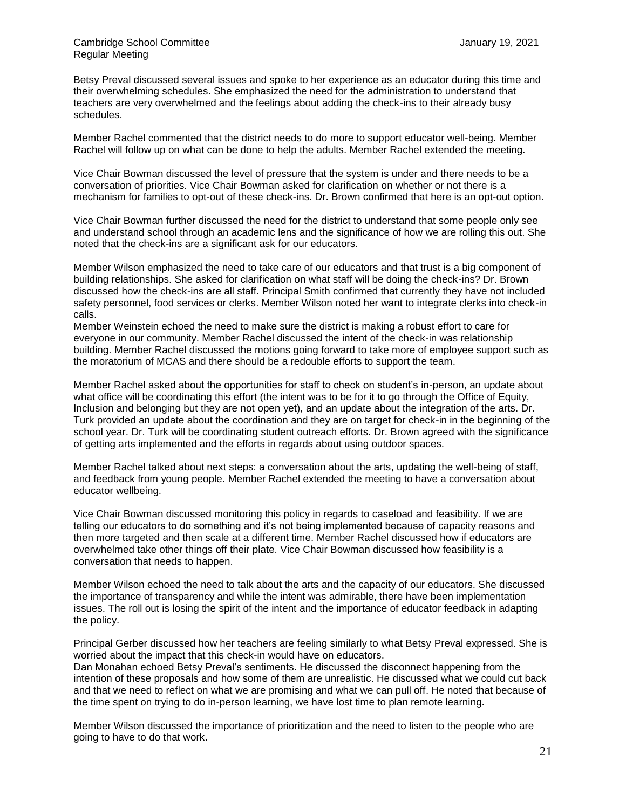Betsy Preval discussed several issues and spoke to her experience as an educator during this time and their overwhelming schedules. She emphasized the need for the administration to understand that teachers are very overwhelmed and the feelings about adding the check-ins to their already busy schedules.

Member Rachel commented that the district needs to do more to support educator well-being. Member Rachel will follow up on what can be done to help the adults. Member Rachel extended the meeting.

Vice Chair Bowman discussed the level of pressure that the system is under and there needs to be a conversation of priorities. Vice Chair Bowman asked for clarification on whether or not there is a mechanism for families to opt-out of these check-ins. Dr. Brown confirmed that here is an opt-out option.

Vice Chair Bowman further discussed the need for the district to understand that some people only see and understand school through an academic lens and the significance of how we are rolling this out. She noted that the check-ins are a significant ask for our educators.

Member Wilson emphasized the need to take care of our educators and that trust is a big component of building relationships. She asked for clarification on what staff will be doing the check-ins? Dr. Brown discussed how the check-ins are all staff. Principal Smith confirmed that currently they have not included safety personnel, food services or clerks. Member Wilson noted her want to integrate clerks into check-in calls.

Member Weinstein echoed the need to make sure the district is making a robust effort to care for everyone in our community. Member Rachel discussed the intent of the check-in was relationship building. Member Rachel discussed the motions going forward to take more of employee support such as the moratorium of MCAS and there should be a redouble efforts to support the team.

Member Rachel asked about the opportunities for staff to check on student's in-person, an update about what office will be coordinating this effort (the intent was to be for it to go through the Office of Equity, Inclusion and belonging but they are not open yet), and an update about the integration of the arts. Dr. Turk provided an update about the coordination and they are on target for check-in in the beginning of the school year. Dr. Turk will be coordinating student outreach efforts. Dr. Brown agreed with the significance of getting arts implemented and the efforts in regards about using outdoor spaces.

Member Rachel talked about next steps: a conversation about the arts, updating the well-being of staff, and feedback from young people. Member Rachel extended the meeting to have a conversation about educator wellbeing.

Vice Chair Bowman discussed monitoring this policy in regards to caseload and feasibility. If we are telling our educators to do something and it's not being implemented because of capacity reasons and then more targeted and then scale at a different time. Member Rachel discussed how if educators are overwhelmed take other things off their plate. Vice Chair Bowman discussed how feasibility is a conversation that needs to happen.

Member Wilson echoed the need to talk about the arts and the capacity of our educators. She discussed the importance of transparency and while the intent was admirable, there have been implementation issues. The roll out is losing the spirit of the intent and the importance of educator feedback in adapting the policy.

Principal Gerber discussed how her teachers are feeling similarly to what Betsy Preval expressed. She is worried about the impact that this check-in would have on educators.

Dan Monahan echoed Betsy Preval's sentiments. He discussed the disconnect happening from the intention of these proposals and how some of them are unrealistic. He discussed what we could cut back and that we need to reflect on what we are promising and what we can pull off. He noted that because of the time spent on trying to do in-person learning, we have lost time to plan remote learning.

Member Wilson discussed the importance of prioritization and the need to listen to the people who are going to have to do that work.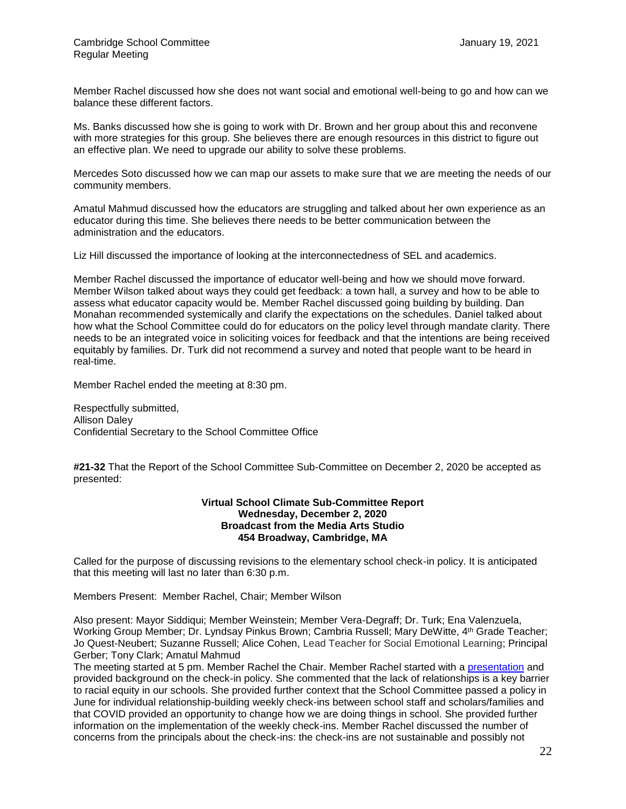Member Rachel discussed how she does not want social and emotional well-being to go and how can we balance these different factors.

Ms. Banks discussed how she is going to work with Dr. Brown and her group about this and reconvene with more strategies for this group. She believes there are enough resources in this district to figure out an effective plan. We need to upgrade our ability to solve these problems.

Mercedes Soto discussed how we can map our assets to make sure that we are meeting the needs of our community members.

Amatul Mahmud discussed how the educators are struggling and talked about her own experience as an educator during this time. She believes there needs to be better communication between the administration and the educators.

Liz Hill discussed the importance of looking at the interconnectedness of SEL and academics.

Member Rachel discussed the importance of educator well-being and how we should move forward. Member Wilson talked about ways they could get feedback: a town hall, a survey and how to be able to assess what educator capacity would be. Member Rachel discussed going building by building. Dan Monahan recommended systemically and clarify the expectations on the schedules. Daniel talked about how what the School Committee could do for educators on the policy level through mandate clarity. There needs to be an integrated voice in soliciting voices for feedback and that the intentions are being received equitably by families. Dr. Turk did not recommend a survey and noted that people want to be heard in real-time.

Member Rachel ended the meeting at 8:30 pm.

Respectfully submitted, Allison Daley Confidential Secretary to the School Committee Office

**#21-32** That the Report of the School Committee Sub-Committee on December 2, 2020 be accepted as presented:

## **Virtual School Climate Sub-Committee Report Wednesday, December 2, 2020 Broadcast from the Media Arts Studio 454 Broadway, Cambridge, MA**

Called for the purpose of discussing revisions to the elementary school check-in policy. It is anticipated that this meeting will last no later than 6:30 p.m.

Members Present: Member Rachel, Chair; Member Wilson

Also present: Mayor Siddiqui; Member Weinstein; Member Vera-Degraff; Dr. Turk; Ena Valenzuela, Working Group Member; Dr. Lyndsay Pinkus Brown; Cambria Russell; Mary DeWitte, 4th Grade Teacher; Jo Quest-Neubert; Suzanne Russell; Alice Cohen, Lead Teacher for Social Emotional Learning; Principal Gerber; Tony Clark; Amatul Mahmud

The meeting started at 5 pm. Member Rachel the Chair. Member Rachel started with a [presentation](https://docs.google.com/presentation/d/1PMaVW_UPcUdqAFjm7gVsTe-NtS3-kgO_0PmiXBq9dR8/edit#slide=id.ga2c6be0a11_0_10) and provided background on the check-in policy. She commented that the lack of relationships is a key barrier to racial equity in our schools. She provided further context that the School Committee passed a policy in June for individual relationship-building weekly check-ins between school staff and scholars/families and that COVID provided an opportunity to change how we are doing things in school. She provided further information on the implementation of the weekly check-ins. Member Rachel discussed the number of concerns from the principals about the check-ins: the check-ins are not sustainable and possibly not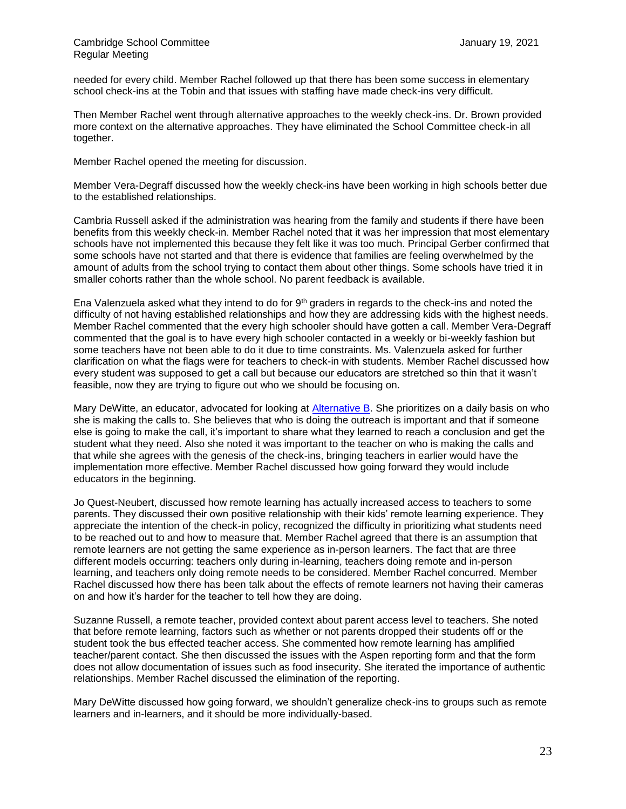needed for every child. Member Rachel followed up that there has been some success in elementary school check-ins at the Tobin and that issues with staffing have made check-ins very difficult.

Then Member Rachel went through alternative approaches to the weekly check-ins. Dr. Brown provided more context on the alternative approaches. They have eliminated the School Committee check-in all together.

Member Rachel opened the meeting for discussion.

Member Vera-Degraff discussed how the weekly check-ins have been working in high schools better due to the established relationships.

Cambria Russell asked if the administration was hearing from the family and students if there have been benefits from this weekly check-in. Member Rachel noted that it was her impression that most elementary schools have not implemented this because they felt like it was too much. Principal Gerber confirmed that some schools have not started and that there is evidence that families are feeling overwhelmed by the amount of adults from the school trying to contact them about other things. Some schools have tried it in smaller cohorts rather than the whole school. No parent feedback is available.

Ena Valenzuela asked what they intend to do for 9<sup>th</sup> graders in regards to the check-ins and noted the difficulty of not having established relationships and how they are addressing kids with the highest needs. Member Rachel commented that the every high schooler should have gotten a call. Member Vera-Degraff commented that the goal is to have every high schooler contacted in a weekly or bi-weekly fashion but some teachers have not been able to do it due to time constraints. Ms. Valenzuela asked for further clarification on what the flags were for teachers to check-in with students. Member Rachel discussed how every student was supposed to get a call but because our educators are stretched so thin that it wasn't feasible, now they are trying to figure out who we should be focusing on.

Mary DeWitte, an educator, advocated for looking at [Alternative B.](https://docs.google.com/presentation/d/1PMaVW_UPcUdqAFjm7gVsTe-NtS3-kgO_0PmiXBq9dR8/edit#slide=id.gacd2f9ed07_0_107) She prioritizes on a daily basis on who she is making the calls to. She believes that who is doing the outreach is important and that if someone else is going to make the call, it's important to share what they learned to reach a conclusion and get the student what they need. Also she noted it was important to the teacher on who is making the calls and that while she agrees with the genesis of the check-ins, bringing teachers in earlier would have the implementation more effective. Member Rachel discussed how going forward they would include educators in the beginning.

Jo Quest-Neubert, discussed how remote learning has actually increased access to teachers to some parents. They discussed their own positive relationship with their kids' remote learning experience. They appreciate the intention of the check-in policy, recognized the difficulty in prioritizing what students need to be reached out to and how to measure that. Member Rachel agreed that there is an assumption that remote learners are not getting the same experience as in-person learners. The fact that are three different models occurring: teachers only during in-learning, teachers doing remote and in-person learning, and teachers only doing remote needs to be considered. Member Rachel concurred. Member Rachel discussed how there has been talk about the effects of remote learners not having their cameras on and how it's harder for the teacher to tell how they are doing.

Suzanne Russell, a remote teacher, provided context about parent access level to teachers. She noted that before remote learning, factors such as whether or not parents dropped their students off or the student took the bus effected teacher access. She commented how remote learning has amplified teacher/parent contact. She then discussed the issues with the Aspen reporting form and that the form does not allow documentation of issues such as food insecurity. She iterated the importance of authentic relationships. Member Rachel discussed the elimination of the reporting.

Mary DeWitte discussed how going forward, we shouldn't generalize check-ins to groups such as remote learners and in-learners, and it should be more individually-based.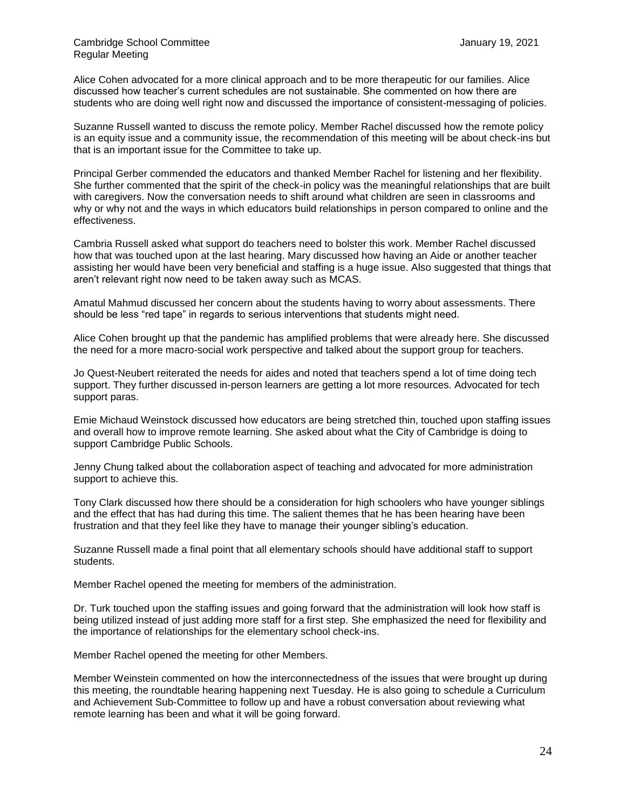Alice Cohen advocated for a more clinical approach and to be more therapeutic for our families. Alice discussed how teacher's current schedules are not sustainable. She commented on how there are students who are doing well right now and discussed the importance of consistent-messaging of policies.

Suzanne Russell wanted to discuss the remote policy. Member Rachel discussed how the remote policy is an equity issue and a community issue, the recommendation of this meeting will be about check-ins but that is an important issue for the Committee to take up.

Principal Gerber commended the educators and thanked Member Rachel for listening and her flexibility. She further commented that the spirit of the check-in policy was the meaningful relationships that are built with caregivers. Now the conversation needs to shift around what children are seen in classrooms and why or why not and the ways in which educators build relationships in person compared to online and the effectiveness.

Cambria Russell asked what support do teachers need to bolster this work. Member Rachel discussed how that was touched upon at the last hearing. Mary discussed how having an Aide or another teacher assisting her would have been very beneficial and staffing is a huge issue. Also suggested that things that aren't relevant right now need to be taken away such as MCAS.

Amatul Mahmud discussed her concern about the students having to worry about assessments. There should be less "red tape" in regards to serious interventions that students might need.

Alice Cohen brought up that the pandemic has amplified problems that were already here. She discussed the need for a more macro-social work perspective and talked about the support group for teachers.

Jo Quest-Neubert reiterated the needs for aides and noted that teachers spend a lot of time doing tech support. They further discussed in-person learners are getting a lot more resources. Advocated for tech support paras.

Emie Michaud Weinstock discussed how educators are being stretched thin, touched upon staffing issues and overall how to improve remote learning. She asked about what the City of Cambridge is doing to support Cambridge Public Schools.

Jenny Chung talked about the collaboration aspect of teaching and advocated for more administration support to achieve this.

Tony Clark discussed how there should be a consideration for high schoolers who have younger siblings and the effect that has had during this time. The salient themes that he has been hearing have been frustration and that they feel like they have to manage their younger sibling's education.

Suzanne Russell made a final point that all elementary schools should have additional staff to support students.

Member Rachel opened the meeting for members of the administration.

Dr. Turk touched upon the staffing issues and going forward that the administration will look how staff is being utilized instead of just adding more staff for a first step. She emphasized the need for flexibility and the importance of relationships for the elementary school check-ins.

Member Rachel opened the meeting for other Members.

Member Weinstein commented on how the interconnectedness of the issues that were brought up during this meeting, the roundtable hearing happening next Tuesday. He is also going to schedule a Curriculum and Achievement Sub-Committee to follow up and have a robust conversation about reviewing what remote learning has been and what it will be going forward.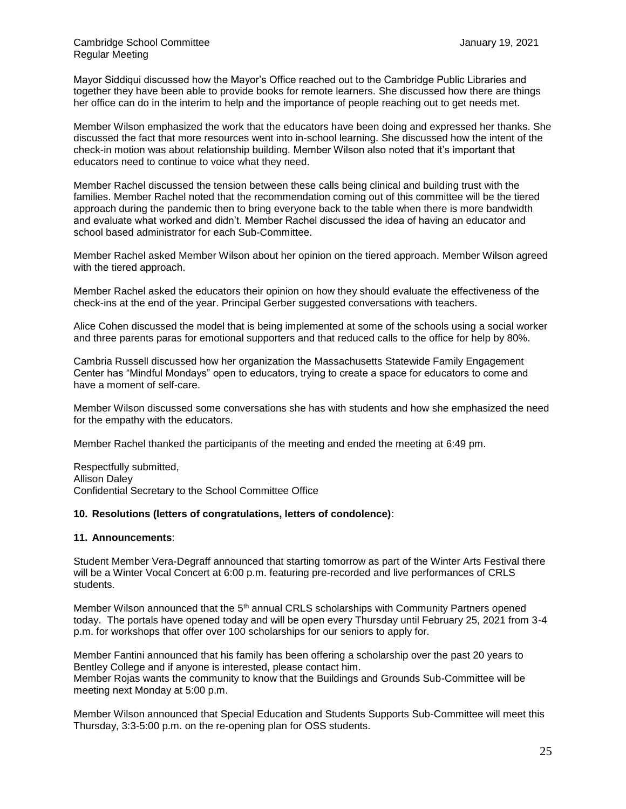Mayor Siddiqui discussed how the Mayor's Office reached out to the Cambridge Public Libraries and together they have been able to provide books for remote learners. She discussed how there are things her office can do in the interim to help and the importance of people reaching out to get needs met.

Member Wilson emphasized the work that the educators have been doing and expressed her thanks. She discussed the fact that more resources went into in-school learning. She discussed how the intent of the check-in motion was about relationship building. Member Wilson also noted that it's important that educators need to continue to voice what they need.

Member Rachel discussed the tension between these calls being clinical and building trust with the families. Member Rachel noted that the recommendation coming out of this committee will be the tiered approach during the pandemic then to bring everyone back to the table when there is more bandwidth and evaluate what worked and didn't. Member Rachel discussed the idea of having an educator and school based administrator for each Sub-Committee.

Member Rachel asked Member Wilson about her opinion on the tiered approach. Member Wilson agreed with the tiered approach.

Member Rachel asked the educators their opinion on how they should evaluate the effectiveness of the check-ins at the end of the year. Principal Gerber suggested conversations with teachers.

Alice Cohen discussed the model that is being implemented at some of the schools using a social worker and three parents paras for emotional supporters and that reduced calls to the office for help by 80%.

Cambria Russell discussed how her organization the Massachusetts Statewide Family Engagement Center has "Mindful Mondays" open to educators, trying to create a space for educators to come and have a moment of self-care.

Member Wilson discussed some conversations she has with students and how she emphasized the need for the empathy with the educators.

Member Rachel thanked the participants of the meeting and ended the meeting at 6:49 pm.

Respectfully submitted, Allison Daley Confidential Secretary to the School Committee Office

## **10. Resolutions (letters of congratulations, letters of condolence)**:

## **11. Announcements**:

Student Member Vera-Degraff announced that starting tomorrow as part of the Winter Arts Festival there will be a Winter Vocal Concert at 6:00 p.m. featuring pre-recorded and live performances of CRLS students.

Member Wilson announced that the 5<sup>th</sup> annual CRLS scholarships with Community Partners opened today. The portals have opened today and will be open every Thursday until February 25, 2021 from 3-4 p.m. for workshops that offer over 100 scholarships for our seniors to apply for.

Member Fantini announced that his family has been offering a scholarship over the past 20 years to Bentley College and if anyone is interested, please contact him. Member Rojas wants the community to know that the Buildings and Grounds Sub-Committee will be meeting next Monday at 5:00 p.m.

Member Wilson announced that Special Education and Students Supports Sub-Committee will meet this Thursday, 3:3-5:00 p.m. on the re-opening plan for OSS students.